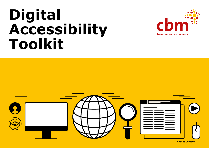# **Digital Accessibility Toolkit**



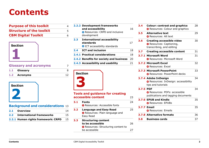## <span id="page-1-0"></span>**Contents**

| <b>Purpose of this toolkit</b>  |   |
|---------------------------------|---|
| <b>Structure of the toolkit</b> |   |
| <b>CBM Digital Toolkit</b>      | 6 |



#### **Glossary and acronyms** 7

| 1.1 Glossary |  |
|--------------|--|
| 1.2 Acronyms |  |



#### **[Background and considerations](#page-12-0)** 13

| 2.1 Overview                 |  |
|------------------------------|--|
| 2.2 International frameworks |  |

**2.2.1 [Human rights framework: CRPD](#page-14-1)** 15

|     | 2.2.2 Development frameworks<br>and accessibility<br><b>C</b> Resources: CRPD and inclusive<br>development | 16 |
|-----|------------------------------------------------------------------------------------------------------------|----|
| 2.3 | <b>International accessibility</b><br>standards<br><b>O</b> ICT accessibility standards                    | 17 |
| 2.4 | <b>ICT and inclusion</b>                                                                                   | 18 |
|     | 2.4.1 Practical considerations                                                                             | 18 |
|     | 2.4.2 Benefits for society and business                                                                    | 20 |
|     | 2.4.3 Accessibility and usability                                                                          | 21 |

## **Section 3**

#### **[Tools and guidance for creating](#page-22-0)  accessible content** 23

**3.1 Fonts** 24 **C** [Resources: Accessible fonts](#page-23-0) **3.2 Language and Easy Read** 25 **O** Resources: Plain language and Easy Read **3.3 [Structuring content](#page-25-0)  to be accessible** 26 **O** Resources: Structuring content to be accessible 27

| 3.4       | <b>Colour: contrast and graphics</b><br><b>O</b> Resources: Colour and graphics                  | 28 |
|-----------|--------------------------------------------------------------------------------------------------|----|
| 3.5       | <b>Alternative text</b><br><b>O</b> Resources: Alt text                                          | 29 |
| 3.6       | <b>Creating accessible video</b><br><b>O</b> Resources: Captioning,<br>transcribing, and editing | 30 |
| 3.7       | <b>Creating accessible content</b>                                                               | 31 |
|           | 3.7.1 Microsoft Word<br><b>O</b> Resources: Microsoft Word                                       | 31 |
|           | <b>3.7.2 Microsoft Excel</b><br><b>O</b> Resources: Excel                                        | 32 |
|           | <b>3.7.3 Microsoft PowerPoint</b><br><b>O</b> Resources: PowerPoint decks                        | 33 |
|           | 3.7.4 Adobe InDesign<br><b>O</b> Resources: InDesign: accessibility<br>tips and tutorials        | 34 |
| 3.7.5 PDF | <b>O</b> Resources: PDFs: accessible<br>publications and tagging documents                       | 34 |
|           | 3.7.6 EPUB and Kindle<br><b>O</b> Resources: EPUBs                                               | 35 |
|           | <b>3.7.7 Email</b><br><b>O</b> Resources: Emails                                                 | 35 |
|           | <b>3.7.8 Alternative formats</b>                                                                 | 36 |
| 3.8       | <b>Business cards</b>                                                                            | 37 |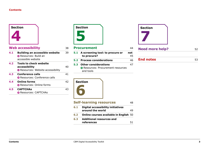

#### **Web accessibility** 38

| <b>Building an accessible website</b><br><b>O</b> Resources: Build an<br>accessible website | 39  |
|---------------------------------------------------------------------------------------------|-----|
| <b>Tools to check website</b><br>accessibility<br><b>O</b> Resources: Website accessibility | 40  |
| <b>Conference calls</b><br><b>O</b> Resources: Conference calls                             | 41  |
| <b>Online forms</b><br><b>O</b> Resources: Online forms                                     | 42. |
| <b>CAPTCHAS</b><br><b>C</b> Resources: CAPTCHAs                                             | 43  |
|                                                                                             |     |



#### **Procurement** 44

**5.1 [A screening tool: to procure or not](#page-44-0)  to procure?** 45 **5.2 [Process considerations](#page-45-0)** 46 **5.3 Other considerations** 47 **C** Resources: Procurement resources and tools





| <b>Need more help?</b> |  |
|------------------------|--|
|                        |  |
|                        |  |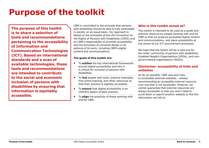## <span id="page-3-0"></span>**Purpose of the toolkit**

**The purpose of this toolkit is to share a selection of tools and recommendations pertaining to the accessibility of Information and Communication Technologies (ICT). Based on international standards and a scan of available technologies, these tools and recommendations are intended to contribute to the social and economic inclusion of persons with disabilities by ensuring that information is equitably accessible.**

CBM is committed to the principle that persons with disabilities should be able to fully participate in society on an equal basis. Our approach is based on the principles of the UN Convention on the Rights of Persons with Disabilities (CRPD) and on CBM's responsibility to promote accessibility and the principles of universal design in all spheres of its work, including CBM's digital content and communications.

#### **The goals of this toolkit are:**

- To **outline** the key international frameworks around digital accessibility and why it is critical for inclusion of persons with disabilities.
- To **link** people with tools, practice examples, free online training, and other resources so that their practice is digitally accessible.
- To **ensure** that digital accessibility is an inherent aspect of daily practice.
- To **align** the practices of those working with and for CBM.

#### **Who is this toolkit aimed at?**

This toolkit is intended to be used as a guide and practice resource by people working with and for CBM so that we produce accessible digital content and communications, and place accessibility at the centre of our ICT procurement processes.

We hope that the toolkit will be a resource for the wider community of persons with disabilities, Disabled People's Organisations (DPOs), and nongovernmental organisations (NGOs).

#### **Disclaimer: accessibility of links and websites**

As far as possible, CBM uses and links to accessible external websites – always recommending an accessible external resource over one that is not accessible. However, we cannot guarantee that external resources are always accessible or that you won't need to scroll down or search another website to find the information we link to.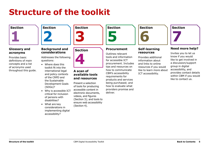## <span id="page-4-0"></span>**Structure of the toolkit**

**Section [1](#page-6-1)**

## **Section [2](#page-12-1)**

#### **Glossary and acronyms**

Provides basic definitions of main concepts and a list of acronyms used throughout this guide.

#### **Background and considerations**

Addresses the following questions:

- Where does this toolkit fit into the international legal and policy contexts of the CRPD and the Sustainable Development Goals (SDGs)?
- Why is accessible ICT critical for inclusion of persons with disabilities?
- What are key considerations in implementing digital accessibility?





#### **A scan of available tools and resources**

Present a selection of tools for producing accessible content in electronic documents, videos, and figures (Section 3); and tools to ensure web accessibility (Section 4).



#### **Procurement**

Outlines relevant tools and information for accessible ICT procurement. Includes tips and resources on how to communicate CBM's accessibility requirements for products and services being purchased; and how to evaluate what providers promise and deliver.

## **Section [6](#page-47-1)**

#### **Self-learning resources**

Provides additional information about and links to online resources if you would like to learn more about ICT accessibility.



#### **Need more help?**

Invites you to let us know if you would like to get involved in a discussion/support group in digital accessibility, and provides contact details within CBM if you would like to contact us.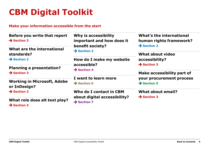## <span id="page-5-0"></span>**CBM Digital Toolkit**

#### **Make your information accessible from the start**

| Before you write that report |  |
|------------------------------|--|
| $\rightarrow$ Section 3      |  |

**[What are the international](#page-12-1)  standards?**

**→ Section 2** 

**[Planning a presentation?](#page-22-1) → Section 3** 

**[Working in Microsoft, Adobe](#page-22-1)  or InDesign? → Section 3** 

**[What role does alt text play?](#page-22-0) → Section 3** 

**Why is accessibility [important and how does it](#page-12-1)  benefit society? → Section 2** 

**[How do I make my website](#page-37-1)  accessible? → Section 4** 

**[I want to learn more](#page-47-1) Section 6**

**Who do I contact in CBM [about digital accessibility?](#page-51-1) → Section 7** 

**What's the international [human rights framework?](#page-12-1) → Section 2** 

**[What about video](#page-22-1)  accessibility? → Section 3** 

**Make accessibility part of [your procurement process](#page-43-1)  → Section 5** 

**[What about email?](#page-22-1) → Section 3**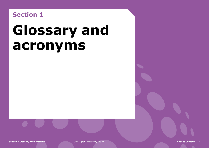## <span id="page-6-1"></span><span id="page-6-0"></span>**Section 1**

# **Glossary and acronyms**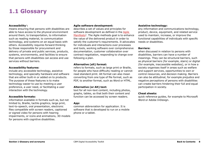### <span id="page-7-1"></span><span id="page-7-0"></span>**1.1 Glossary**

#### **Accessibility**<sup>1</sup>**:**

means ensuring that persons with disabilities are able to have access to the physical environment around them, to transportation, to information such as reading material, to communication technology, and systems on an equal basis with others. Accessibility requires forward thinking by those responsible for procurement and delivery of private and public services, products, systems, environments, and facilities to ensure that persons with disabilities can access and use services without barriers.

#### **Accessibility features:**

include any accessible technology, assistive technology, and specialty hardware and software that are either built-in or added on to products. The purpose of these features is to make technology easier to use by meeting a user preference, a user need, or facilitating a user interaction with the technology.

#### **Accessible formats:**

information available in formats such as, but not limited to, Braille, tactile graphics, large print, text-to-speech, oral presentation, electronic files compatible with screen readers, captioned or signed video for persons with hearing impairments, or icons and animations, 3D models for persons with cognitive disabilities.

#### **Agile software development:**

describes a set of values and principles for software development as defined in the [Agile](http://agilemanifesto.org/)  Manifesto<sup>2</sup>. The Agile methods goal is to enhance the value of the delivered product in order to satisfy the customer's requirements. It advocates for individuals and interactions over processes and tools, working software over comprehensive documentation, customer collaboration over contract negotiation, responding to change over following a plan.

#### **Alternative (alt) format:**

refers to formats, such as large print or Braille, for people who have difficulty reading or cannot read standard print. Alt format can also mean converting from one type of file format, such as PDF, to another format, such as Word or HTML.

#### **Alternative (or Alt) text:**

text for all non-text content, including photos, graphs, tables, so that both their content and function can be accessed by screen readers.

#### **App:**

common abbreviation for application. It is software that is developed to run on a mobile phone or a tablet.

#### **Assistive technology:**

any information and communications technology, product, device, equipment, and related service used to maintain, increase, or improve the functional capabilities of individuals with specific needs or disabilities.

#### **Barriers:**

when discussed in relation to persons with disabilities, barriers can have a number of meanings. They can be structural barriers, such as physical barriers (for example, stairs) or digital (for example, inaccessible websites), or in how a society organises itself in areas such as welfare and support services, opportunities to own or control resources, and decision making. Barriers can also be attitudinal, for example prejudice and negative perceptions of persons with disabilities can create barriers hindering their full and equal participation in society.

#### **Cheat sheets:**

quick reference guides, for example to Microsoft Word or Adobe InDesign.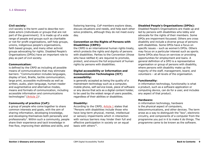#### <span id="page-8-0"></span>**Civil society:**

civil society is the term used to describe nonstate actors (individuals or groups that are not part of the government). It is made up of a wide range of people and groups such as charitable or not-for-profit organisations, self-help groups, unions, indigenous people's organisations, faith based groups, and many other activist groups advocating for rights. Disabled People's Organisations (DPOs) have an important role to play as part of civil society.

#### **Communication:**

is defined by the CRPD as including all possible means of communications that may eliminate barriers: "Communication includes languages, display of text, Braille, tactile communication, large print, accessible multimedia as well as written, audio, plain-language, human-reader and augmentative and alternative modes, means and formats of communication, including accessible information and communications technologies" [\(Article 2](https://www.un.org/development/desa/disabilities/convention-on-the-rights-of-persons-with-disabilities/article-2-definitions.html))<sup>3</sup>.

#### **Community of practice (CoP):**

a group of people who come together to share common interests and goals, with the aim of sharing information, developing knowledge, and developing themselves both personally and professionally4. Within such a community, people share their experience and tacit knowledge in free flow, improving their abilities and skills, and

fostering learning. CoP members explore ideas, discuss situations and needs, and help each other solve problems, although they do not meet every day.

#### **Convention on the Rights of Persons with Disabilities (CRPD):**

the CRPD is an international human rights treaty, which protects the rights and dignity of persons with disabilities. Parties to the Convention (those who have ratified it) are required to promote, protect, and ensure the full enjoyment of human rights by persons with disabilities.

#### **Digital accessibility or Information and Communication Technologies (ICT) accessibility:**

is generally accepted as being the quality of a mainstream technology such as a computer, mobile phone, self-service kiosk, piece of software or any device that acts as a digital content holder, to be used by the widest range of users possible, regardless of their abilities or disabilities.

#### **Disability:**

According to the CRPD, [Article 1](https://www.un.org/development/desa/disabilities/convention-on-the-rights-of-persons-with-disabilities/article-1-purpose.html) states that "Persons with disabilities include those who have long-term physical, mental, intellectual or sensory impairments which in interaction with various barriers may hinder their full and effective participation in society on an equal basis with others" 5 .

#### **Disabled People's Organisations (DPOs):**

Disabled People's Organisations are made up and led by persons with disabilities who lobby and advocate for the rights of their members. Some DPOs are impairment focussed. Others are cross disability and include a diverse group of persons with disabilities. Some DPOs have a focus on specific issues – such as women's DPOs. Others may focus on a particular interest such as sports. Some DPOs also focus on services or providing opportunities for employment and loans. A general definition of a DPO is a representative organisation or group of persons with disability, where persons with disability make up the majority of the staff, management, board, and volunteers – at all levels of the organisation.

#### **Functionality:**

in information technology, functionality is what a product, such as a software application or computing device, can do for a user, and includes any aspect of that product.

#### **Hardware:**

in information technology, hardware is the physical aspect of computers, telecommunications, and other devices. The term arose as a way to distinguish the "box", electronic circuitry, and components of a computer from the programme you put in it to make it do things. The programme came to be known as the software.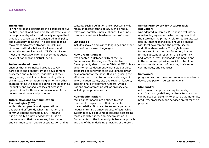#### <span id="page-9-0"></span>**Inclusion:**

is when all people participate in all aspects of civil, political, social, and economic life. At state level it is the process by which traditionally marginalised groups are consulted and considered in all policy and budgetary decisions. The disabled people's movement advocates strongly for inclusion of persons with disabilities at all levels, and especially in compliance with CRPD that States meet their obligations for all government public policy at national and district levels.

#### **Inclusive development:**

ensures that marginalised groups actively participate and benefit from the development processes and outcomes, regardless of their age, gender, disability, state of health, ethnic origin, sexual orientation, religion, or any other characteristics. It seeks to address the deepening inequality and consequent lack of access to opportunities for those who are excluded from development gains and processes<sup>6</sup>.

#### **Information and Communication Technologies (ICT):**

while different people and organisations understand differently what information and communications technology (ICT) means, it is generally acknowledged that ICT is an umbrella term that includes any information and communication device or application and its

content. Such a definition encompasses a wide range of access technologies, such as radio, television, satellite, mobile phones, fixed lines, computers, network hardware, and software7.

#### **Language**<sup>8</sup>**:**

includes spoken and signed languages and other forms of non-spoken languages.

#### **New Urban Agenda:**

was adopted in October 2016 at the UN Conference on Housing and Sustainable Development, also known as "Habitat III". It is an action-oriented document which sets out global standards of achievement in sustainable urban development for the next 20 years, guiding the efforts around urbanisation of a wide range of actors: nation states, city and regional leaders, international development funders, United Nations programmes as well as civil society, including the private sector.

#### **Non-discrimination:**

requires that people are entitled to equal treatment irrespective of their particular characteristics. It is used to assess apparently neutral criteria that may produce effects, which systematically disadvantage persons possessing those characteristics. Non-discrimination is fundamental to the human rights based approach and one of the underlying principles of the CRPD.

#### **Sendai Framework for Disaster Risk Reduction:**

was adopted in March 2015 and is a voluntary, non-binding agreement which recognises that the State has the primary role to reduce disaster risk, but that responsibility should be shared with local government, the private sector, and other stakeholders. Through its seven targets and four priorities for action, it aims for the substantial reduction of disaster risk and losses in lives, livelihoods and health and in the economic, physical, social, cultural and environmental assets of persons, businesses, communities, and countries.

#### **Software**<sup>9</sup>**:**

programmes that run on a computer or electronic device and perform certain functions.

#### **Standard**<sup>10</sup>**:**

a document that provides requirements, specifications, guidelines, or characteristics that can be used consistently to ensure that materials, products, processes, and services are fit for their purpose.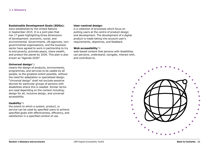#### <span id="page-10-0"></span>**Sustainable Development Goals (SDGs):**

were established by the United Nations in September 2015. It is a joint plan that has 17 goals highlighting three dimensions of development: economic, social, and environmental. Governments, UN agencies, nongovernmental organisations, and the business sector have agreed to work in partnership to try to end poverty, promote peace, share wealth, and protect the planet by 2030. This plan is also known as "Agenda 2030".

#### **Universal design<sup>11</sup>:**

means the design of products, environments, programmes, and services to be usable by all people, to the greatest extent possible, without the need for adaptation or specialised design. "Universal design" shall not exclude assistive devices for particular groups of persons with disabilities where this is needed. Similar terms are used depending on the context including: design for all, inclusive design, and universal accessibility.

#### **Usability**<sup>12</sup>**:**

the extent to which a system, product, or service can be used by specified users to achieve specified goals with effectiveness, efficiency, and satisfaction in a specified context of use.

#### **User-centred design:**

is a collection of processes which focus on putting users at the centre of product design and development. The development of a digital product is made taking into account user's requirements, objectives, and feedback.

#### **Web accessibility**<sup>13</sup>**:**

web-based content that persons with disabilities can perceive, understand, navigate, interact with, and contribute to.

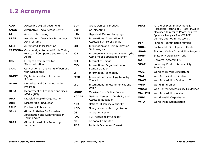## <span id="page-11-0"></span>**1.2 Acronyms**

| <b>ADD</b>   | <b>Accessible Digital Documents</b><br>C                                                         |        |
|--------------|--------------------------------------------------------------------------------------------------|--------|
| <b>AMAC</b>  | <b>Alternative Media Access Center</b>                                                           |        |
| AT           | Assistive Technology                                                                             |        |
| <b>ATAP</b>  | Association of Assistive Technology<br><b>Act Programs</b>                                       |        |
| <b>ATM</b>   | <b>Automated Teller Machine</b>                                                                  | I      |
|              | <b>CAPTCHAs</b> Completely Automated Public Turing<br>test to tell Computers and Humans<br>Apart | Ĩ.     |
| <b>CEN</b>   | European Committee for<br>Standardization                                                        | I<br>I |
| <b>CRPD</b>  | Convention on the Rights of Persons<br>with Disabilities                                         | I      |
| <b>DAISY</b> | Digital Accessible Information<br>SYstem                                                         | I      |
| <b>DCMP</b>  | Described and Captioned Media<br>Program                                                         | I      |
| <b>DESA</b>  | Department of Economic and Social<br>Affairs (UN)                                                | N<br>P |
| <b>DPO</b>   | Disabled People's Organisation                                                                   |        |
| <b>DRR</b>   | <b>Disaster Risk Reduction</b>                                                                   | ľ      |
| <b>EPUB</b>  | <b>Electronic Publication</b>                                                                    | ľ      |
| G3ict        | Global Initiative for Inclusive<br><b>Information and Communication</b><br>Technologies          | C<br>F |
| <b>GARI</b>  | <b>Global Accessibility Reporting</b><br>Initiative                                              | F<br>F |

| GDP          | <b>Gross Domestic Product</b>                                             |  |
|--------------|---------------------------------------------------------------------------|--|
| <b>GTM</b>   | GoToMeeting                                                               |  |
| <b>HTML</b>  | Hypertext Markup Language                                                 |  |
| <b>IAAP</b>  | <b>International Association of</b><br><b>Accessibility Professionals</b> |  |
| ICT          | <b>Information and Communication</b><br>Technologies                      |  |
| iOS          | Internetwork Operating System (the<br>Apple mobile operating system)      |  |
| <b>ToI</b>   | <b>Internet of Things</b>                                                 |  |
| ISO          | International Organization for<br>Standardization                         |  |
| IT           | <b>Information Technology</b>                                             |  |
| <b>ITIC</b>  | <b>Information Technology Industry</b><br>Council                         |  |
| ITU          | <b>International Telecommunications</b><br>Union                          |  |
| <b>MOOC</b>  | Massive Open Online Course                                                |  |
| <b>NCDAE</b> | National Center on Disability and<br><b>Access to Education</b>           |  |
| NDA          | <b>National Disability Authority</b>                                      |  |
| NGO          | Non-governmental organisation                                             |  |
| OS           | <b>Operating System</b>                                                   |  |
| <b>PAC</b>   | PDF Accessibility Checker                                                 |  |
| PС           | Personal Computer                                                         |  |
| <b>PDF</b>   | <b>Portable Document Format</b>                                           |  |

| <b>PEAT</b> | Partnership on Employment &<br>Accessible Technology. Note: PEAT is<br>also used to refer to Photosensitive<br><b>Epilepsy Analysis Tool (TRACE</b><br>Center) but not in this toolkit. |  |
|-------------|-----------------------------------------------------------------------------------------------------------------------------------------------------------------------------------------|--|
| PIN         | Personal identification number                                                                                                                                                          |  |
| SDGs        | Sustainable Development Goals                                                                                                                                                           |  |
| <b>SOAP</b> | Stanford Online Accessibility Program                                                                                                                                                   |  |
| <b>SUNY</b> | <b>State University New York</b>                                                                                                                                                        |  |
| UA          | <b>Universal Accessibility</b>                                                                                                                                                          |  |
| <b>VPAT</b> | <b>Voluntary Product Accessibility</b><br>Template                                                                                                                                      |  |
| W3C         | World Wide Web Consortium                                                                                                                                                               |  |
| WAI         | Web Accessibility Initiative                                                                                                                                                            |  |
| <b>WAVE</b> | Web Accessibility Evaluation Tool                                                                                                                                                       |  |
| WBU         | World Blind Union                                                                                                                                                                       |  |
| <b>WCAG</b> | Web Content Accessibility Guidelines                                                                                                                                                    |  |
| WebAIM      | Web Accessibility in Mind                                                                                                                                                               |  |
| WHO         | World Health Organization                                                                                                                                                               |  |
| <b>WTO</b>  | World Trade Organization                                                                                                                                                                |  |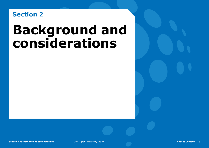## <span id="page-12-1"></span><span id="page-12-0"></span>**Section 2**

# **Background and considerations**

CBM Digital Accessibility Toolkit **13**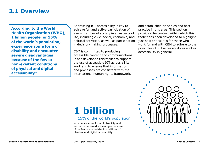### <span id="page-13-1"></span><span id="page-13-0"></span>**2.1 Overview**

**According to the World Health Organization (WHO), 1 billion people, or 15% of the world's population, experience some form of disability and encounter severe disadvantages because of the few or non-existent conditions of physical and digital accessibility**<sup>14</sup>**.** 

Addressing ICT accessibility is key to achieve full and active participation of every member of society in all aspects of life, including civic, social, economic, and political activities, as well as participation in decision-making processes.

CBM is committed to producing accessible content and communications. It has developed this toolkit to support the use of accessible ICT across all its work and to ensure that information and processes are consistent with the international human rights framework,

and established principles and best practice in this area. This section provides the context within which this toolkit has been developed to highlight just how critical it is for those who work for and with CBM to adhere to the principles of ICT accessibility as well as accessibility in general.

## **1 billion**

#### $= 15\%$  of the world's population

experience some form of disability and encounter severe disadvantages because of the few or non-existent conditions of physical and digital accessibility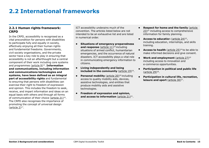## <span id="page-14-2"></span><span id="page-14-0"></span>**2.2 International frameworks**

#### <span id="page-14-1"></span>**2.2.1 Human rights framework: CRPD**

In the CRPD, accessibility is recognised as a vital precondition for persons with disabilities to participate fully and equally in society, effectively enjoying all their human rights and fundamental freedoms. Governments, civil society organisations, and the private sector have a key role to play in ensuring that accessibility is not an afterthought but a central component of their work including core systems and programmes [\(article 9\)](https://www.un.org/development/desa/disabilities/convention-on-the-rights-of-persons-with-disabilities/article-9-accessibility.html)15. **Information and communications, including information and communications technologies and systems, have been defined as an integral part of accessibility rights** and fundamental to ensuring that persons with disabilities can exercise their right to freedom of expression and opinion. This includes the freedom to seek, receive, and impart information and ideas on an equal basis with others and through all forms of communication of their choice [\(article 21\)](https://www.un.org/development/desa/disabilities/convention-on-the-rights-of-persons-with-disabilities/article-21-freedom-of-expression-and-opinion-and-access-to-information.html)16. The CRPD also recognises the importance of promoting the concept of universal design (article  $2)^{17}$ .

ICT accessibility underpins much of the convention. The articles listed below are not intended to be an exhaustive list and are listed in numerical order.

- **• Situations of emergency preparedness**  and response [\(article 11\)](https://www.un.org/development/desa/disabilities/convention-on-the-rights-of-persons-with-disabilities/article-11-situations-of-risk-and-humanitarian-emergencies.html)<sup>18</sup> including situations of armed conflict, humanitarian emergencies, and the occurrence of natural disasters. ICT accessibility plays a vital role in communicating emergency information to citizens.
- **• Living independently and being included in the community** [\(article 19\)](https://www.un.org/development/desa/disabilities/convention-on-the-rights-of-persons-with-disabilities/article-19-living-independently-and-being-included-in-the-community.html)<sup>19</sup>.
- **• Personal mobility** ([article 20](https://www.un.org/development/desa/disabilities/convention-on-the-rights-of-persons-with-disabilities/article-20-personal-mobility.html))<sup>20</sup> including access to quality mobility aids, devices, assistive technologies, and entities that produce mobility aids and assistive technologies.
- **• Freedom of expression and opinion, and access to information** ([article 21\)](https://www.un.org/development/desa/disabilities/convention-on-the-rights-of-persons-with-disabilities/article-21-freedom-of-expression-and-opinion-and-access-to-information.html)<sup>21</sup>.
- **• Respect for home and the family** ([article](https://www.un.org/development/desa/disabilities/convention-on-the-rights-of-persons-with-disabilities/article-23-respect-for-home-and-the-family.html)  [23\)](https://www.un.org/development/desa/disabilities/convention-on-the-rights-of-persons-with-disabilities/article-23-respect-for-home-and-the-family.html)<sup>22</sup> including access to comprehensive information for family planning.
- **• Access to educatio**n [\(article 24\)](https://www.un.org/development/desa/disabilities/convention-on-the-rights-of-persons-with-disabilities/article-24-education.html)23, including education, internships, and skills training.
- **Access to health** [\(article 25\)](https://www.un.org/development/desa/disabilities/convention-on-the-rights-of-persons-with-disabilities/article-25-health.html)<sup>24</sup> to be able to make informed decisions and give consent.
- **Work and employment** ([article 27](https://www.un.org/development/desa/disabilities/convention-on-the-rights-of-persons-with-disabilities/article-27-work-and-employment.html))<sup>25</sup> including access to innovation and e-commerce opportunities.
- **• Participation in political and public life** ([article 29](https://www.un.org/development/desa/disabilities/convention-on-the-rights-of-persons-with-disabilities/article-29-participation-in-political-and-public-life.html))26.
- **• Participation in cultural life, recreation, leisure and sport** ([article 30](https://www.un.org/development/desa/disabilities/convention-on-the-rights-of-persons-with-disabilities/article-30-participation-in-cultural-life-recreation-leisure-and-sport.html))<sup>27</sup>.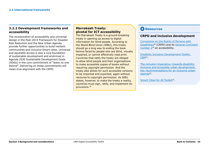#### <span id="page-15-1"></span><span id="page-15-0"></span>**2.2.2 Development frameworks and accessibility**

The incorporation of accessibility and universal design in the Post-2015 Framework for Disaster Risk Reduction and the New Urban Agenda provide further opportunities to build resilient communities and inclusive Smart cities. Universal and equitable access is also a core foundation of sustainable development and enshrined in Agenda 2030 Sustainable Development Goals (SDGs) in the core commitment of "leave no one behind". Delivering on these commitments will mean true alignment with the CRPD.

#### **Marrakesh Treaty: pivotal for ICT accessibility**

The Marrakesh Treaty is a ground-breaking treaty in opening up access to digital information for blind people. According to the World Blind Union (WBU), this treaty should go a long way to ending the book famine faced by people who are blind, visually impaired, or cannot effectively read print. Countries that ratify the treaty are obliged to allow blind people and their organisations to make accessible copies of books without requiring copyright permission. And the treaty also allows for such accessible versions to be imported and exported, again without recourse to copyright permission. As WBU states, however, to make the treaty a reality, countries must sign, ratify, and implement its provisions.28

#### **C** Resources

#### **CRPD and inclusive development**

[Convention on the Rights of Persons with](https://www.un.org/development/desa/disabilities/convention-on-the-rights-of-persons-with-disabilities.html)  Disabilities29 (CRPD) and its [General Comment](http://www.ohchr.org/EN/HRBodies/CRPD/Pages/GC.aspx)  number 230 on accessibility.

[Disability Inclusive Development Toolkit,](http://www.cbm.org/article/downloads/54741/CBM-DID-TOOLKIT-accessible.pdf)  CBM31.

The inclusion imperative: towards disability[inclusive and accessible urban development:](http://www.cbm.org/article/downloads/54741/The_Inclusion_Imperative__Towards_Disability-Inclusive_Development_and_Accessible_Urban_Development.pdf)  key recommendations for an inclusive urban agenda<sup>32</sup>.

[Smart Cities for All Toolkit](http://smartcities4all.org/#toolkits)<sup>33</sup>.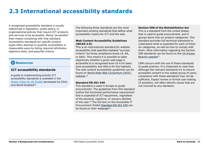## <span id="page-16-1"></span><span id="page-16-0"></span>**2.3 International accessibility standards**

A recognised accessibility standard is usually referenced in legislation, public policy, or organisational policies that require ICT products and services to be accessible. Being "accessible" then means complying with that standard. Accessibility standards for specific product types often attempt to quantify accessibility in measurable ways by listing required attributes, objective tests, and pass/fail criteria.

#### **C** Resources

#### **ICT accessibility standards**

A guide to implementing priority ICT accessibility standards is available in the [Smart Cities for All Toolkit](http://smartcities4all.org/#toolkits) developed by G3ict and World Enabled38.

The following three standards are the most important existing standards that define what accessibility means for ICT and the web.

#### **Web Content Accessibility Guidelines (WCAG 2.0)**

This is an international standard for website accessibility that specifies testable "success criteria" for three compliance levels (A, AA, or AAA). This means it is possible to state objectively whether a given web page is accessible to a recognised level (A is for basic level accessibility and AAA is for the highest). The web content accessibility guidelines can be found on [World Wide Web Consortium \(W3C\)](https://www.w3.org/standards/webdesign/accessibility)  website.34

#### **Standard EN 301 549**

This standard is used in Europe to guide procurement. The guidelines from this standard outline the functional performance requirement that is expected of ICT equipment, regardless of the physical, cognitive, or sensory abilities of the user.35 The full text on the Accessible IT Procurement Toolkit [Standard EN 301 549](http://mandate376.standards.eu/standard) can be found on their webpage<sup>36</sup>.

#### **Section 508 of the Rehabilitation Act**

This is a standard from the United States that is used to guide procurement, and it groups items into six product categories. This standard provides full technical standards to understand what is expected for each of these six categories, as well as how to comply with them. More information regarding the Section 508 standards can be found on the [US Access](https://www.access-board.gov/guidelines-and-standards/communications-and-it/about-the-section-508-standards/section-508-standards)  Board's website37.

CBM concurs with the use of these standards to guide practice. It is important to note that, although the relevant standards try to ensure accessible content to the widest group of users, compliance with these standards may not be sufficient. Expert review or formal user testing (if possible), will often identify issues that are not covered by any standard.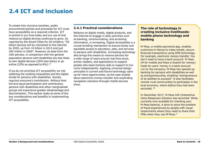## <span id="page-17-2"></span><span id="page-17-0"></span>**2.4 ICT and inclusion**

To create fully inclusive societies, public procurement policies and processes for ICT must have accessibility as a required criterion. ICT is central in our lives today and our use of and reliance on digital devices continues to grow. As reported by the Smart Cities for All initiative, "50 billion devices will be connected to the internet by 2020, up from 10 billion in 2012 and just 200 million in 2000". However, as data from the USA advises, in comparison with the general population persons with disabilities are less likely to own digital devices (20% less likely) or go online (23% as opposed to 8%).<sup>39</sup>

If we do not prioritise ICT accessibility we risk widening the existing inequalities and the digital divide for persons with disabilities. Society requires everyone's contribution. Without their full and equal participation and contribution, persons with disabilities and other marginalised groups will experience greater disadvantage and discrimination. This section looks at some of the key considerations and benefits in implementing ICT accessibility.

#### <span id="page-17-1"></span>**2.4.1 Practical considerations**

Reliance on digital media, digital products, and the Internet to engage in daily activities such as banking, communicating, and accessing information, is increasing. Digital accessibility is a crucial levelling mechanism to ensure timely and equitable access to education, jobs, and services to persons with disabilities. Increasing technology also brings the means to remove barriers for a wide range of users around real time texts, screen readers, and applications to support people who need memory aids or support to live more independently. Applying universal design principles in current and future technology open up far more opportunities, as the case studies about electronic money transfer and wayfinding navigation solutions through mobile devices show.

#### **The role of technology in creating inclusive livelihoods: mobile phone technology and banking**

M-Pesa, a mobile payments app, enables customers in Kenya to make simple, secure financial transactions using SMS technology. For example, electronic money transfer. You don't need to have a bank account: M-Pesa (M for mobile and Pesa is Swahili for money) holds its users' money in a bank account run by the company. M-Pesa has opened up banking for persons with disabilities as well as entrepreneurship, enabling "entrepreneurs of all abilities to succeed". It also facilitates remote rural communities to participate in the local economy, where before they had been excluded. <sup>40</sup>

In December 2017, M-Pesa IVR (Interactive Voice Response) Solution was launched. While currently only available for checking your M-Pesa balance, it aims to solve the problem of fraud experienced by people with visual impairments where they need to share their PINs when they use M-Pesa.<sup>41</sup>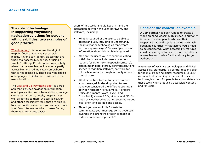#### <span id="page-18-0"></span>**The role of technology in supporting wayfinding navigation solutions for persons with disabilities: two examples of good practice**

[Wheelmap.org](https://news.wheelmap.org/en/faq/)<sup>42</sup> is an interactive digital map for finding wheelchair accessible places. Anyone can identify places that are wheelchair accessible, or not, by using a simple 'traffic light' code: green means fully wheelchair accessible, yellow means partly accessible, and red indicates somewhere that is not accessible. There is a wide choice of languages available and it will set to the user's location.

The Click and Go wayfinding  $a^{23}$  is a free app that provides navigation information about places like bus or train stations, college campuses, airports, hotels, hospitals – as well as getting to them. It uses VoiceOver and other accessibility tools that are built-in to your mobile device, and you can also mark your favourite venues which makes finding them at a later stage easier.

Users of this toolkit should keep in mind the interaction between the user, hardware, and software, including:

- What is required of the user to be able to access and use, including to understand, the information technologies that create and convey messages? For example, is your information about this in plain language?
- Who are the users you are communicating with? Users can include: users of screen readers (or other text-to-speech software), screen magnifiers, literacy software solutions, speech recognition software, software for colour-blindness, and keyboard only or headcontrol users.
- What is the best format for you to convey your message? In deciding what to use, have you considered the different strengths between formats? For example, Microsoft Office documents (Word, Excel, and PowerPoint) versus PDFs, videos, and EPUBs; cloud or web-based operating systems versus local or on-site storage and access.
- Should you use multiple formats to communicate your message so that you can leverage the strengths of each to reach as wide an audience as possible?

#### **Consider the context: an example**

A CBM partner has been funded to create a video on hand-washing. This video is primarily intended for deaf people who use their respective national sign languages in English speaking countries. What factors would need to be considered? What accessibility features could be leveraged to ensure that the video is accessible and usable for the primary target audience?

Awareness of assistive technologies and digital accessibility standards is a central responsibility for people producing digital resources. Equally as important is training in the use of assistive technologies: both for people to appropriately use these tools when producing accessible content and for users.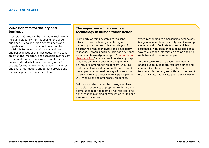#### <span id="page-19-1"></span><span id="page-19-0"></span>**2.4.2 Benefits for society and business**

Accessible ICT means that everyday technology, including digital content, is usable for a wide audience. Digital inclusion benefits everyone to participate on a more equal basis and to contribute to the economic, social, cultural, and political lives of their societies. As this case study on the importance of accessible technology in humanitarian action shows, it can facilitate persons with disabilities and other groups in society, for example older populations, to access and share information, and to both provide and receive support in a crisis situation.

#### **The importance of accessible technology in humanitarian action**

From early warning systems to resilient infrastructure, technology is playing an increasingly important role at all stages of disaster risk reduction (DRR) and emergency response. Recognising this, CBM has developed [an accessible smartphone app – "Humanitarian](http://www.cbm.org/CBM-launches-Humanitarian-Hands-on-Tool-HHoT--530657.php)  Hands-on Tool" – which provides step-by-step guidance on how to design and implement an inclusive emergency response<sup>44</sup>. Ensuring that technology used in humanitarian action is developed in an accessible way will mean that persons with disabilities can fully participate in DRR measures and emergency responses.

Before a disaster occurs, technology enables us to plan responses appropriate to the area. It allows us to map the most at-risk families, and enhances the planning of evacuation routes and emergency shelters.

When responding to emergencies, technology is again invaluable across all types of warning systems and to facilitate fast and efficient responses, with social media being used as a way to exchange information and as a tool to mobilise and coordinate people.

In the aftermath of a disaster, technology enables us to build more resilient homes and community infrastructures, to transfer cash to where it is needed, and although the use of drones is in its infancy, its potential is clear.45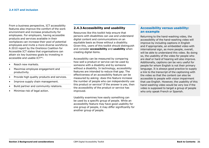From a business perspective, ICT accessibility features also improve the comfort of the work environment and increase productivity for employees. For employers, having accessible products and services available in their workplaces can increase their pool of potential employees and invite a more diverse workforce. A 2010 report by the OneVoice Coalition for Accessible ICT states that organisations can attain six key business goals by investing in accessible and usable ICT46:

#### • Reach new markets.<br>……………………………………………………

 $\ldots$ 

- Maximise employee engagement and productivity.
- Provide high quality products and services.

- Improve supply chain management.
- Build partner and community relations.
- Minimise risk of legal action.

#### <span id="page-20-0"></span>**2.4.3 Accessibility and usability**

Resources like this toolkit help ensure that persons with disabilities can use and understand digital content and communications on an equitable basis as those without a disability. Given this, users of this toolkit should distinguish and consider **accessibility** and **usability** when creating digital items.

Accessibility can be measured by comparing how well a product or service can be used by someone with a disability and by someone without a disability. In technology, accessibility features are intended to reduce that gap. The effectiveness of an accessibility feature can be measured by asking: does this feature increase the number of people who can independently use this product or service? If the answer is yes, then the accessibility of the product or service has improved.

Usability examines how easily something can be used by a specific group of people. While an accessibility feature may have good usability for one group of people, it may differ significantly for another group of people.

#### **Accessibility versus usability: an example**

Returning to the hand-washing video, the accessibility of the hand-washing video will improve by including captions in English and if appropriate, an embedded video with international sign, as more people, overall, will be able to understand this video. By doing so, the usability of the video for people who are deaf or hard of hearing will also improve. Additionally, captions can be very useful for people for whom English is not their primary language. It is always good practice to supply a link to the transcript of the captioning with the video so that the content can also be accessible to people with vision impairment that use English. However, the usability of this hand-washing video would be very low if the video is supposed to target a group of people who only speak French or Spanish.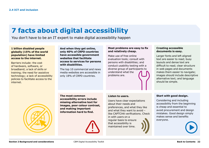## **7 facts about digital accessibility**

You don't have to be an IT expert to make digital accessibility happen

#### **1 billion disabled people globally (15% of the world population) have limited access to the internet.**

Barriers include: the cost of hardware, software, or broadband; a lack of skills or training; the need for assistive technology; a lack of accessibility policies to facilitate access to the internet.

**And when they get online, only 40% of CRPD countries have accessible government websites that facilitate access to services for persons with disabilities.** 

The top 10 commercial and news media websites are accessible in only 18% of CRPD countries.

#### **Most problems are easy to fix and relatively cheap.**

Make use of free online evaluation tools; consult with persons with disabilities; and conduct usability testing with a diverse group of participants to understand what the problems are.

#### **Creating accessible documents is easy.**

Larger fonts and left aligned text are easier to read; busy layouts and dense text are difficult to read; clear structure in web pages and documents makes them easier to navigate; images should include descriptive alternative text; and language should be simple.



**The most common accessibility errors include missing alternative text for images, poor colour contrast, and making important information hard to find.**



#### **Listen to users.**

Users have clear expectations about their needs and preferences, and what they like and what they want to avoid – like CAPTCHA verifications. Check in with users on a regular basis to ensure that accessibility is maintained over time.

#### **Start with good design.**

Considering and including accessibility from the beginning is cheap and essential to avoid procurement and design mistakes. Good design simply makes sense and benefits everyone.

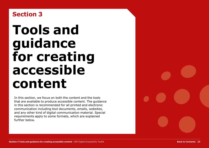## <span id="page-22-1"></span><span id="page-22-0"></span>**Section 3**

# **Tools and guidance for creating accessible content**

In this section, we focus on both the content and the tools that are available to produce accessible content. The guidance in this section is recommended for all printed and electronic communication including text documents, emails, websites, and any other kind of digital communication material. Special requirements apply to some formats, which are explained further below.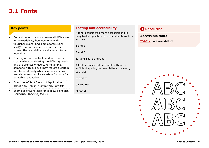### <span id="page-23-1"></span><span id="page-23-0"></span>**3.1 Fonts**

#### **Key points**

- Current research shows no overall difference in the readability between fonts with flourishes (Serif) and simple fonts (Sansserif)<sup>47</sup>, but font choice can improve or worsen the readability of a document for an individual.
- Offering a choice of fonts and font size is crucial when considering the differing needs and preferences of users. For example, someone with dyslexia may require a certain font for readability while someone else with low vision may require a certain font size for equitable readability.
- Examples of Serif fonts in 12-point size: Times New Roman, Garamond, Cambria.
- Examples of Sans-serif fonts in 12-point size: Verdana, Tahoma, Calibri.

#### **Testing font accessibility**

A font is considered more accessible if it is easy to distinguish between similar characters such as:

**Z** and **2**

**S** and **5**

**I**, **l** and **1** (I, L and One)

A font is considered accessible if there is sufficient spacing between letters in a word, such as:

**m** and **rn**

**oa** and **oo**

**cl** and **d**

#### **C** Resources

#### **Accessible fonts**

[WebAIM](http://www.webaim.org/techniques/fonts/#readability): font readability<sup>48</sup>

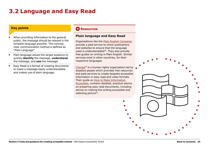## <span id="page-24-1"></span><span id="page-24-0"></span>**3.2 Language and Easy Read**

#### **Key points**

- When providing information to the general public, the message should be relayed in the simplest language possible. This concise, clear communication method is defined as "Plain Language".
- Plain language allows the target audience to quickly **identify** the message, **understand** the message, and **use** the message.
- Easy Read is a format of creating documents to make a message easily understandable and makes use of plain language.

#### **Resources**

#### **Plain language and Easy Read**

Organisations like the [Plain English Campaign](http://www.plainenglish.co.uk/) provide a paid service to check publications and websites to ensure that the language used is understandable<sup>49</sup>. They also provide free guides on writing in Plain English. Similar services exist in other countries, for their respective languages.

[Change](http://www.changepeople.org)50 is a human rights organisation led by disabled people which provides free resources and paid services to create bespoke accessible information in easy read and video formats. Their guide on How to Make Information [Accessible, contains detailed, practical ad](http://www.changepeople.org/getmedia/923a6399-c13f-418c-bb29-051413f7e3a3/How-to-make-info-accessible-guide-2016-Final)vice on preparing easy read documents, including advice on making the writing accessible and selecting picture<sup>51</sup>.

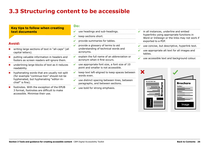## <span id="page-25-0"></span>**3.3 Structuring content to be accessible**

#### **Key tips to follow when creating text documents**

#### **Avoid:**

- writing large sections of text in "all-caps" (all capital letters).
- putting valuable information in headers and footers as screen readers will ignore them.
- underlining large blocks of text as it reduces readability.
- hyphenating words that are usually not split (for example "continua-tion" should not be hyphenated, but hyphenating "editor-inchief" is fine).
- footnotes. With the exception of the EPUB 3 format, footnotes are difficult to make accessible. Minimise their use.

#### **Do:**

- use headings and sub-headings.
- $\mathcal V$  keep sections short.
- provide summaries for tables.
- $\vee$  provide a glossary of terms to aid
- understanding of technical words and acronyms.
- explain the full name of an abbreviation or acronym when it first occurs.
- $\vee$  use appropriate font size, a font size of 10 point and smaller is not accessible.
- keep text left-aligned to keep spaces between words even.
- $\vee$  use distinct spacing between lines, between paragraphs, and between sections.
- $\vee$  use bold for strong emphasis.
- in all instances, underline and embed hyperlinks using appropriate functions in Word or InDesign or the links may not work if exported to a PDF.
- use concise, but descriptive, hyperlink text.
- $\vee$  use appropriate alt text for all images and tables.
- $\vee$  use accessible text and background colour.

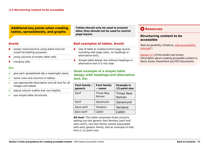#### <span id="page-26-1"></span>**Additional key points when creating tables, spreadsheets, and graphs**

#### **Avoid:**

- ✖ empty rows/columns using blank lines for visual formatting purposes.
- using columns of empty table cells.
- ✖ merging cells.

#### **Do:**

### ✔ give each spreadsheet tab a meaningful name.

- $\vee$  name rows and columns in tables.
- use appropriate description and alt text for all images and tables.
- ✔ adjust column widths and row heights.
- $\vee$  use simple table structures.

**Tables should only be used to present data; they should not be used to control page layout.**

#### **Bad examples of tables. Avoid:**

- ✖ Use of table to create/control page layout, including web page (also, no headings or alternative text).
- Simple table design but without headings or alternative text it is not clear.

#### **Good example of a simple table design with headings and alternative text. Do:**

| Font family -<br>generic | <b>Font family</b><br>- name | <b>Example in</b><br>12-point size |
|--------------------------|------------------------------|------------------------------------|
| Serif                    | <b>Times New</b><br>Roman    | <b>Times New</b><br>Roman          |
| Serif                    | Garamond                     | Garamond                           |
| Sans-serif               | Verdana                      | Verdana                            |
| Sans-serif               | Calibri                      | Calibri                            |

**Alt text:** This table comprises three columns setting out two generic font families (serif and sans-serif), two font family names associated with each generic family, and an example of that font in 12-point size.

#### **C** Resources

#### <span id="page-26-0"></span>**Structuring content to be accessible**

Web Accessibility Initiative, [web accessibility](https://www.w3.org/WAI/tutorials/page-structure/)  tutorials<sup>52</sup>.

[Section 3.7](#page-30-2) of this toolkit has further information about creating accessible content in Word, Excel, PowerPoint and PDF documents.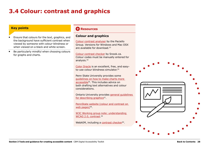## <span id="page-27-1"></span><span id="page-27-0"></span>**3.4 Colour: contrast and graphics**

#### **Key points**

- Ensure that colours for the text, graphics, and the background have sufficient contrast when viewed by someone with colour-blindness or when viewed on a black and white screen.
- Be particularly mindful when choosing colours for graphs and charts.

#### **C** Resources

#### **Colour and graphics**

[Colour contrast analyser](https://developer.paciellogroup.com/resources/contrastanalyser/) by the Paciello Group. Versions for Windows and Mac OSX are available for download.53

[Colour contrast checker](https://snook.ca/technical/colour_contrast/colour.html#fg=33FF33,bg=333333) by Snook.ca. Colour codes must be manually entered for analysis.54

[Color Oracle](http://colororacle.org/) is an excellent, free, and easyto-use colour blindness simulator.<sup>55</sup>

Penn State University provides some [guidelines on how to make charts more](http://accessibility.psu.edu/images/charts/)  accessible56. This includes advice on both drafting text alternatives and colour considerations.

Ontario University provides [general guidelines](https://carmenwiki.osu.edu/display/10292/Describing+Graphics)  for describing graphics<sup>57</sup>.

[PennState website \(colour and contrast on](http://accessibility.psu.edu/color/contrasthtml/)  web pages $5^{58}$ .

W3C Working group note: understanding WCAG 2.0, contrast.<sup>59</sup>

WebAIM, including a [contrast checker](http://webaim.org/resources/contrastchecker/)<sup>60</sup>.

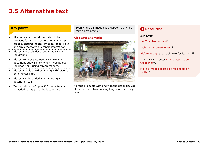## <span id="page-28-1"></span><span id="page-28-0"></span>**3.5 Alternative text**

#### **Key points**

- Alternative text, or alt text, should be provided for all non-text elements, such as graphs, pictures, tables, images, logos, links, and any other form of graphic information.
- Alt text concisely describes what is shown in the graphic.
- Alt text will not automatically show in a document but will show when mousing over the image or if using screen readers.
- Alt text should avoid beginning with "picture of" or "image of".
- Alt text can be added in HTML using a description tag.
- Twitter: alt text of up to 420 characters can be added to images embedded in Tweets.

Even where an image has a caption, using alt text is best practice.

#### **Alt text: example**



A group of people with and without disabilities sat at the entrance to a building laughing while they pose.

#### **C** Resources

#### **Alt text**

[Jim Thatcher: alt text](http://www.jimthatcher.com/webcourse2.htm)<sup>61</sup>.

[WebAIM: alternative text](http://www.webaim.org/techniques/images/alt_text.php#overview)<sup>62</sup>.

[Altformat.org:](http://www.altformat.com/) accessible text for learning<sup>63</sup>.

The Diagram Center [Image Description](http://diagramcenter.org/making-images-accessible.html#guide)  Guidelines<sup>64</sup>.

[Making images accessible for people on](https://support.twitter.com/articles/20174660?lang=en)  Twitter<sup>65</sup>.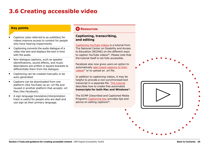## <span id="page-29-1"></span><span id="page-29-0"></span>**3.6 Creating accessible video**

#### **Key points**

- Captions (also referred to as subtitles) for videos improve access to content for people who have hearing impairments.
- Captioning converts the audio dialogue of a video into text and displays the text in time with the audio.
- Non-dialogue captions, such as speaker identifications, sound effects, and music descriptions are written in square brackets to differentiate them from the dialogue.
- Captioning can be created manually or be auto-generated.
- Captions can be downloaded from one platform (like YouTube) as an .srt file and reused in another platform that accepts .srt files (like Facebook).
- A sign language translation/interpretation track is useful for people who are deaf and use sign as their primary language.

#### **C** Resources

#### **Captioning, transcribing, and editing**

[Captioning YouTube Videos](http://ncdae.org/resources/cheatsheets/youtube.php) is a tutorial from The National Center on Disability and Access to Education (NCDAE) on the different ways to caption YouTube videos<sup>66</sup>. Please note that the tutorial itself is not fully accessible.

Facebook also now gives users an option to automatically [add closed captions to their](http://wersm.com/how-to-automatically-generate-captions-on-your-facebook-videos/)  videos<sup>67</sup> or to upload an .srt file.

In addition to captioning videos, it may be helpful to provide a non-synchronised text transcript in a separate file. [This tutorial](https://www.youtube.com/watch?v=erx9czQsY2Q) describes how to create free automated **transcripts for both Mac and Windows**68.

The DCMP (Described and Captioned Media Program) [Captioning Key](http://www.captioningkey.org/text.html) provides tips and advice on editing captions<sup>69</sup>.

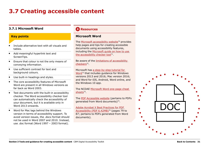## <span id="page-30-2"></span><span id="page-30-0"></span>**3.7 Creating accessible content**

#### <span id="page-30-1"></span>**3.7.1 Microsoft Word**

#### **Key points**

- Include alternative text with all visuals and tables.
- Add meaningful hyperlink text and ScreenTips.
- Ensure that colour is not the only means of conveying information.
- Use sufficient contrast for text and background colours.
- Use built-in headings and styles.
- The core accessibility features of Microsoft Word are present in all Windows versions as far back as Word 2003.
- Test documents with the built-in accessibility checker. The Word accessibility checker tool can automatically check the accessibility of your document, but it is available only in Word 2013 onwards.
- Word for Mac lags behind the Windows version in terms of accessibility support. To avoid version issues, the .docx format should not be used in Word 2007 and 2010. Instead, use .doc format (Word 1997 – 2003 format).

#### **C** Resources

#### **Microsoft Word**

The [Microsoft accessibility website](https://www.microsoft.com/en-us/accessibility/)<sup>70</sup> provides help pages and tips for creating accessible documents using accessibility features, including the [Microsoft guide on how to use](https://support.office.com/en-us/article/Use-the-Accessibility-Checker-on-your-Windows-desktop-to-find-accessibility-issues-a16f6de0-2f39-4a2b-8bd8-5ad801426c7f)  the accessibility checker tool $71$ .

Be aware of the [limitations of accessibility](https://accessible-digital-documents.com/blog/pdf-accessibility-checker/#errors)  checkers<sup>72</sup>.

Microsoft has [a step-by-step tutorial for](https://support.office.com/en-us/article/Make-your-Word-documents-accessible-d9bf3683-87ac-47ea-b91a-78dcacb3c66d?CorrelationId=dfdf4ff9-7c5e-4975-8e06-26356774364c&ui=en-US&rs=en-US&ad=US)  Word73 that includes guidance for Windows versions 2013 and 2016; Mac version 2016; and Word for iOS, Android, Word online, and the Windows 10 app.

The NCDAE Microsoft Word one-page cheat sheets<sup>74</sup>.

The [PDF Accessible website](http://www.pdfaccessible.com/en/tutorials/training-accessible-word/) (pertains to PDFs generated from Word documents)<sup>75</sup>.

[Adobe Acrobat X Best Practices for PDF](http://www.adobe.com/content/dam/Adobe/en/accessibility/products/acrobat/pdfs/acrobat-x-pdf-accessibility-best-practices.pdf)  Accessibility (PDF 6.42MB)76 (pages 79 to 87; pertains to PDFs generated from Word documents).

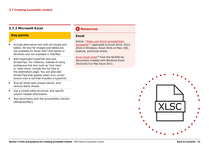#### <span id="page-31-1"></span><span id="page-31-0"></span>**3.7.2 Microsoft Excel**

#### **Key points**

- Include alternative text with all visuals and tables. Alt text for images and tables are not available for Excel 2007 and earlier in Windows and not available in iOS/Mac.
- Add meaningful hyperlink text and ScreenTips. For instance, instead of using ambiguous link text such as 'click here' or 'read more', include the full title of the destination page. You can also add ScreenTips that appear when your cursor hovers over a cell that includes a hyperlink.
- Give all sheet tabs unique names, and remove blank sheets.
- Use a simple table structure, and specify column header information.
- Test documents with the accessibility checker (Windows/Mac).

#### **C** Resources

#### **Excel**

Article: ["Make your Excel spreadsheets](https://support.office.com/en-us/article/Make-your-Excel-spreadsheets-accessible-6cc05fc5-1314-48b5-8eb3-683e49b3e593)  accessible"77 applicable to Excel 2010, 2013, 2016 in Windows; Excel 2016 on Mac; iOS, Android, and Excel online.

[Excel cheat sheet](http://ncdae.org/resources/cheatsheets/excel.php)<sup>78</sup> from the NCDAE for documents created with Windows Excel 2010/2013 or Mac Excel 2011.

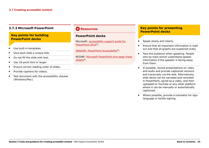#### <span id="page-32-1"></span><span id="page-32-0"></span>**3.7.3 Microsoft PowerPoint**

#### **Key points for building PowerPoint decks**

- Use built-in templates.
- Give each slide a unique title.
- Do not fill the slide with text.
- Use 18-point font or larger.
- Ensure correct reading order of slides.
- Provide captions for videos.
- Test document with the accessibility checker (Windows/Mac).

#### **Resources**

#### **PowerPoint decks**

Microsoft: [accessibility support guide for](https://support.office.com/en-us/article/Accessibility-support-for-PowerPoint-9d2b646d-0b79-4135-a570-b8c7ad33ac2f?ui=en-US&rs=en-US&ad=US#PickTab=Windows)  PowerPoint 201679.

[WebAIM: PowerPoint Accessibility](http://www.webaim.org/techniques/powerpoint/)<sup>80</sup>.

NCDAE: [Microsoft PowerPoint one-page cheat](http://ncdae.org/resources/cheatsheets/#msppt)  sheets $81$ .

#### **Key points for presenting PowerPoint decks**

- Speak slowly and clearly.
- Ensure that all important information is read out and that all graphs are explained orally.
- Face the audience when speaking. People who lip read cannot understand spoken information if the speaker is facing away from them.
- If possible, record presentations on video and audio and provide captioned versions and transcripts via the web. Alternatively, slide decks can be narrated and recorded in PowerPoint, saved as a video, and then uploaded to YouTube or any other platform where it can be manually or automatically captioned.
- Where possible, provide a translator for sign language or tactile signing.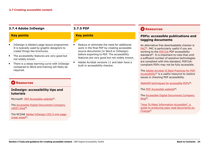#### <span id="page-33-2"></span><span id="page-33-0"></span>**3.7.4 Adobe InDesign**

#### **Key points**

- InDesign is Adobe's page layout programme. It is typically used by graphic designers to create things like brochures.
- The accessibility features are very good but not widely known.
- There is a steep learning curve with InDesign compared to Word and training will likely be required.

#### <span id="page-33-1"></span>**3.7.5 PDF**

#### **Key points**

- Reduce or eliminate the need for additional work in the final PDF by creating accessible source documents (in Word or InDesign) before exporting to PDF. The accessibility features are very good but not widely known.
- Adobe Acrobat versions 11 and later have a built-in accessibility checker.

#### **Resources**

#### **PDFs: accessible publications and tagging documents**

An alternative free downloadable checker is [PAC8](http://www.access-for-all.ch/en/pdf-lab/pdf-accessibility-checker-pac.html)5. PAC is particularly useful if you are working to the [PDF/UA](https://www.pdfa.org/pdfua-the-iso-standard-for-universal-accessibility/) PDF accessibility standard<sup>86</sup>. It is important to note that until a sufficient number of assistive technologies are compliant with this standard, PDF/UAcompliant PDFs may not be fully accessible.

The [Adobe Acrobat XI Best Practices for PDF](http://www.adobe.com/content/dam/acom/en/accessibility/products/acrobat/pdfs/acrobat-xi-pro-accessibility-best-practice-guide.pdf)  Accessibility<sup>87</sup> is a useful resource to resolve issues in checking PDF accessibility.

[WebAIM techniques for accessible PDFs](http://www.webaim.org/techniques/acrobat/)88.

The [PDF Accessible website](http://www.pdf-accessibility.com/)<sup>89</sup>.

The [Accessible Digital Documents Company](https://accessible-digital-documents.com/blog/)  blog<sup>90</sup>.

"How To Make Information Accessible", a [guide to producing easy read documents by](http://www.changepeople.org/getmedia/923a6399-c13f-418c-bb29-051413f7e3a3/How-to-make-info-accessible-guide-2016-Final)  Change<sup>91</sup>

#### **C** Resources

#### **InDesign: accessibility tips and tutorials**

Microsoft[: PDF Accessible website](http://www.pdfaccessible.com/en/tutorials/training-indesign-acrobat-pro/)<sup>82</sup>.

The [Accessible Digital Documents Company](https://accessible-digital-documents.com/blog/)  (ADD) blog<sup>83</sup>.

The NCDAE [Adobe InDesign CS5.5 one-page](http://ncdae.org/resources/cheatsheets/#msppt)  cheat sheet $84$ .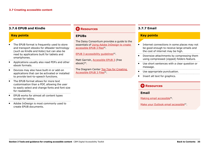#### <span id="page-34-2"></span><span id="page-34-0"></span>**3.7.6 EPUB and Kindle**

#### **Key points**

- The EPUB format is frequently used to store and transport ebooks for eReader technology (such as Kindle and Kobo) but can also be read by applications built for tablets and smartphones.
- Applications usually also read PDFs and other ebook formats.
- Devices may also have built-in or add-on applications that can be activated or installed to provide text-to-speech functions.
- The EPUB format allows for more text customisation than a PDF, allowing the user to easily select and change fonts and font size for readability.
- EPUB works for almost all content types except for tables.
- Adobe InDesign is most commonly used to create EPUB documents.

#### **C** Resources

#### **EPUBs**

The Daisy Consortium provides a guide to the essentials of [Using Adobe InDesign to create](http://www.daisy.org/daisypedia/using-adobe-indesign-create-accessible-epub-3-files)  accessible EPUB 3 files<sup>92</sup>.

[EPUB 3 accessibility guidelines](https://idpf.github.io/a11y-guidelines/)<sup>93</sup>.

Matt Garrish, [Accessible EPUB 3](http://shop.oreilly.com/product/0636920025283.do) (free ebook)94.

The Diagram Center [Top Tips for Creating](http://diagramcenter.org/54-9-tips-for-creating-accessible-epub-3-files.html)  Accessible EPUB 3 Files<sup>95</sup>.

#### <span id="page-34-1"></span>**3.7.7 Email**

#### **Key points**

- Internet connections in some places may not be good enough to receive large emails and the cost of internet may be high.
- Downsize attachments by compressing them using compressed (zipped) folders feature.
- Use short sentences with a clear question or message.
- Use appropriate punctuation.
- Insert alt text for graphics.

#### **C** Resources

#### **Email**

[Making email accessible](http://smartech.gatech.edu/handle/1853/7333)<sup>96</sup>.

[Make your Outlook email accessible](https://support.office.com/en-us/article/Make-your-Outlook-email-accessible-71ce71f4-7b15-4b7a-a2e3-cf91721bbacb#PickTab=Windows)<sup>97</sup>.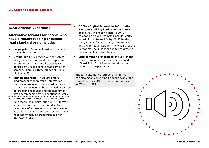#### <span id="page-35-0"></span>**3.7.8 Alternative formats**

#### **Alternative formats for people who have difficulty reading or cannot read standard print include:**

- **Large print:** Documents using a font size of 14-points or larger.
- **Braille:** Braille is a tactile writing system using patterns of raised dots to represent letters. A refreshable Braille display can be used by Braille users to read computer screens. There are three grades of Braille (1, 2, and 3).
- **Tactile diagrams:** These are graphs, diagrams, or other pictorial information that are reproduced using raised patterns. Diagrams may need to be simplified or altered before being produced and the diagram is often accompanied by explanations in Braille.
- **Audio versions:** These include cassette tape recordings, digital audio in MP3 format, audio streams, or a screen reader. Audio recordings of large events, such as speeches at conferences and classroom lectures, may need accompanying transcripts to filter irrelevant audio.
- **DAISY (Digital Accessible Information SYstems) talking books:** To play DAISY books, you will need to install a DAISYcompatible player. Examples include: AMIS for Windows, Android Daisy EPUB Reader, Daisy Delight for Mac, DaisyWorm for iOS, and Victor Reader Stream. The viability of this format may be in danger due to the growing popularity of sites like Audible.
- **Less common alt formats:** Include "**Moon**" (raised, embossed shapes on paper) and "**Giant Print**" which refers to print sizes larger than 18-point font.

The term alternative format (or alt format) can also mean converting from one type of file format, such as PDF, to another format, such as Word or HTML.

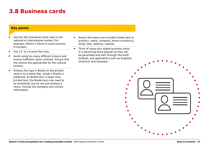### <span id="page-36-0"></span>**3.8 Business cards**

#### **Key points**

- Use the ISO standards most used in the national or international context (for example, 85mm x 55mm is most common in Europe).
- Use 12- to 14-point font size.
- Avoid using too many different colours and ensure sufficient colour contrast. Ensure that the colours are appropriate for the cultural context.
- Emboss the logo in Braille on the printed card or on a blank flap. Grade 2 Braille is preferred. As Braille text is larger than printed text, the Braille text may need to be shortened, but do not just emboss a name. Include the company and contact information.
- Ensure the basics are included (listed here in priority): name, company, phone number(s), email, title, address, website.
- Think of using your digital business cards. It is becoming more popular as they can be generated and sent through Microsoft Outlook, and applications such as SnapDat, OneCard, and Haystack.

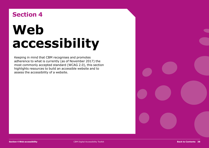# <span id="page-37-1"></span><span id="page-37-0"></span>**Section 4 Web accessibility**

Keeping in mind that CBM recognises and promotes adherence to what is currently (as of November 2017) the most commonly accepted standard (WCAG 2.0), this section highlights resources to build an accessible website and to assess the accessibility of a website.

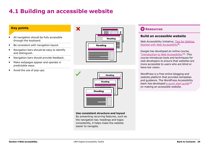## <span id="page-38-1"></span><span id="page-38-0"></span>**4.1 Building an accessible website**

#### **Key points**

- All navigation should be fully accessible through the keyboard.
- Be consistent with navigation layout.
- Navigation bars should be easy to identify and distinguish.
- Navigation bars should provide feedback.
- 
- Make webpages appear and operate in predictable ways.
- Avoid the use of pop-ups.





#### **Use consistent structure and layout**

By presenting recurring features, such as the navigation bar, headings and logos consistently, it helps make the website easier to navigate.

#### **C** Resources

#### **Build an accessible website**

Web Accessibility Initiative, Tips for Getting Started with Web Accessibility<sup>98</sup>.

Google has developed an online course, ["Introduction to Web Accessibility"](https://webaccessibility.withgoogle.com/course)99. This course introduces tools and techniques for web developers to ensure that websites are more accessible to users who are blind or have low vision.

WordPress is a free online blogging and website platform that provides templates and guidance. The WordPress Accessibility team has developed a quick start quide<sup>100</sup> on making an accessible website.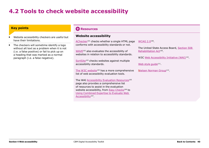## <span id="page-39-1"></span><span id="page-39-0"></span>**4.2 Tools to check website accessibility**

#### **Key points**

- Website accessibility checkers are useful but have their limitations.
- The checkers will sometime identify a logo without alt text as a problem when it is not (i.e. a false positive) or fail to pick up on a heading that was marked as a normal paragraph (i.e. a false negative).

#### **C** Resources

#### **Website accessibility**

[AChecker](https://achecker.ca/checker/index.php)101 checks whether a single HTML page conforms with accessibility standards or not.

[WAVE](http://wave.webaim.org/)<sup>102</sup> also evaluates the accessibility of websites in relation to accessibility standards.

[SortSite](https://www.powermapper.com/products/sortsite/checks/accessibility-checks/)<sup>103</sup> checks websites against multiple accessibility standards.

[The W3C website](https://www.w3.org/WAI/ER/tools/)<sup>104</sup> has a more comprehensive list of web accessibility evaluation tools.

The WAI [Accessibility Evaluation Resources](https://www.w3.org/WAI/eval/Overview)<sup>105</sup> page also provides a comprehensive list of resources to assist in the evaluation website accessibility, fro[m Easy Checks](https://www.w3.org/WAI/eval/preliminary)<sup>106</sup> to [Using Combined Expertise to Evaluate Web](https://www.w3.org/WAI/eval/reviewteams.html)  Accessibility<sup>107</sup>.

[WCAG 2.0](http://www.w3.org/TR/WCAG20/)108.

The United State Access Board, [Section 508](https://www.access-board.gov/guidelines-and-standards/communications-and-it/about-the-section-508-standards)  Rehabilitation Act<sup>109</sup>.

W3C [Web Accessibility Initiative \(WAI\)](http://www.w3.org/WAI/)<sup>110</sup>.

Web style quide<sup>111</sup>.

[Nielsen Norman Group](http://www.useit.com/jakob/)<sup>112</sup>.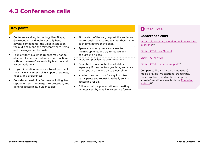## <span id="page-40-1"></span><span id="page-40-0"></span>**4.3 Conference calls**

#### **Key points**

- Conference calling technology like Skype, GoToMeeting, and WebEx usually have several components: the video interaction, the audio call, and the text chat where items and messages can be posted.
- People with visual impairments may not be able to fully access conference call functions without the use of accessibility features and accommodations.
- In your invitation make sure to ask people if they have any accessibility support requests, needs, and preferences.
- Consider accessibility features including live captioning, sign language interpretation, and general accessibility guidance tips.
- At the start of the call, request the audience not to speak too fast and to state their name each time before they speak.
- Speak at a steady pace and close to the microphone, and try to reduce any background noises.
- Avoid complex language or acronyms.
- Describe the key content of all slides, especially if they contain graphics, and state when you are moving on to a new slide.
- Monitor the chat room for any input from participants and repeat it verbally so it is accessible for all.
- Follow up with a presentation or meeting minutes sent by email in accessible format.

#### **C** Resources

#### **Conference calls**

[Accessible webinars – making online work for](https://accessibility.jiscinvolve.org/wp/2016/09/12/webinars/)  everyone<sup>113</sup>.

Citrix - GTM User Manual<sup>114</sup>.

[Citrix – GTM FAQs](https://www.gotomeeting.com/en-au/meeting/online-meeting-support)115.

[Citrix – GTM customer support](https://support.logmeininc.com/gotomeeting) $116$ .

Companies like AI (Access Innovation) media provide live captions, transcripts, closed captions, and audio description. More information is available on [AI media](http://www.ai-media.tv/)  website<sup>117</sup>.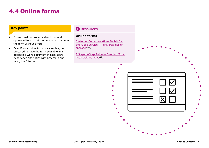## <span id="page-41-1"></span><span id="page-41-0"></span>**4.4 Online forms**

#### **Key points**

- Forms must be properly structured and optimised to support the person in completing the form without errors.
- Even if your online form is accessible, be prepared to have the form available in an accessible Word document in case users experience difficulties with accessing and using the Internet.

#### **C** Resources

#### **Online forms**

[Customer Communications Toolkit for](http://publicservice.universaldesign.ie/index.html)  the Public Service - A universal design  $approad<sup>118</sup>$ .

[A Step-by-Step Guide to Creating More](https://www.surveygizmo.com/survey-software-features/accessibility/)  Accessible Surveys<sup>119</sup>.

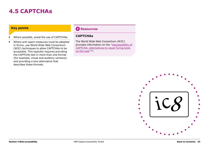### <span id="page-42-1"></span><span id="page-42-0"></span>**4.5 CAPTCHAs**

#### **Key points**

- Where possible, avoid the use of CAPTCHAs.
- Where anti-spam measures must be adopted in forms, use World Wide Web Consortium (W3C) techniques to allow CAPTCHAs to be accessible. This typically requires providing the CAPTCHA test in more than one format (for example, visual and auditory versions) and providing a text alternative that describes these formats.

#### **C** Resources

#### **CAPTCHAs**

The World Wide Web Consortium (W3C) [provides information on the "inaccessibility of](https://www.w3.org/TR/turingtest/)  CAPTCHA: alternatives to visual Turing tests on the web"120.

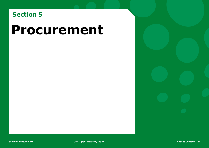## <span id="page-43-1"></span><span id="page-43-0"></span>**Section 5**

## **Procurement**

**Section 5 Procurement CBM Digital Accessibility Toolkit 444**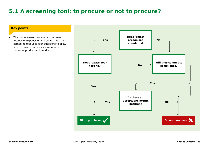## <span id="page-44-0"></span>**5.1 A screening tool: to procure or not to procure?**

#### **Key points**

**•** The procurement process can be timeintensive, expensive, and confusing. This screening tool uses four questions to allow you to make a quick assessment of a potential product and vendor.

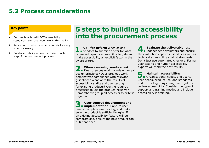### <span id="page-45-0"></span>**5.2 Process considerations**

#### **Key points**

- Become familiar with ICT accessibility standards using the hyperlinks in this toolkit.
- Reach out to industry experts and civil society when necessary.
- Build accessibility requirements into each step of the procurement process.

## **5 steps to building accessibility into the procurement process**

**1. Call for offers:** When asking<br>vendors to submit an offer for what is needed, specify accessibility targets and make accessibility an explicit factor in the award criteria.

**2. When assessing vendors, ask:**  Does previous work include universal design principles? Does previous work demonstrate compliance with relevant guidelines? What were the results of accessibility audits and user testing for existing products? Are the required processes to use the product inclusive? Remember to group all accessibility criteria together.

**3. User-centred development and implementation:** Capture user needs, complete user testing, and make sure the product is sufficiently agile. If an existing accessibility feature will be compromised, ensure the new product can fulfil that need.

**4. Evaluate the deliverable:** Use independent evaluators and ensure the evaluation captures usability as well as technical accessibility against standards. Don't just use automated checkers. Formal user testing and human accessibility experts will yield the best results.

**5. Maintain accessibility:**  Organisational needs, end users, user needs, product use, and standards and technology may change so regularly review accessibility. Consider the type of support and training needed and include accessibility in training.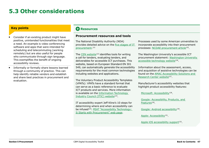## <span id="page-46-1"></span><span id="page-46-0"></span>**5.3 Other considerations**

#### **Key points**

- Consider if an existing product might have positive, unintended functionalities that meet a need. An example is video conferencing software and apps that were intended for scheduling and telecommuting (working remotely) but are also useful for people who communicate through sign language. This exemplifies the benefit of ongoing accessibility reviews.
- Informally or formally share lessons learned through a community of practice. This can help identify reliable vendors and establish and share best practices in procurement and evaluation.

#### **Resources**

#### **Procurement resources and tools**

The National Disability Authority (NDA) provides detailed advice on the [five stages of IT](http://universaldesign.ie/Technology-ICT/IT-Procurement-Toolkit/Stages-of-Procurement/1-Writing-an-RFT/)  procurement.121

The [CEN website](http://mandate376.standards.eu/)<sup>122</sup> identifies tools for writing a call for tenders, evaluating tenders, and deliverables for accessible ICT purchases. This website, based on European Standard EN 301 549, can automatically generate the accessibility requirements for the most common technologies including websites and applications.

The Voluntary Product Accessibility Templates (VPATs): VPATs have a standard format that can serve as a basic reference to evaluate ICT products and services. More information is available on the [Information Technology](http://www.itic.org/policy/accessibility/)  Industry Council (ITIC) website<sup>123</sup>.

IT accessibility expert Jeff Kline's 10 steps for determining where and when accessibility can be infused<sup>124</sup>: PEAT "Accessibility Technology: It Starts with Procurement" web page.

Processes used by some American universities to incorporate accessibility into their procurement processes: [NCDAE procurement article](http://ncdae.org/resources/articles/procurement.php)125.

The Washington University's accessible ICT procurement statement: [Washington University](http://www.washington.edu/accessibility/procurement/)  accessible technology website<sup>126</sup>.

Information about the assessment, access, and acquisition of assistive technologies can be found on the [AMAC Accessibility Solutions and](http://www.amacusg.gatech.edu/amacat.php)  Research Center website<sup>127</sup>.

Manufacturer's accessibility websites that highlight product accessibility features:

[Microsoft: Accessibility](https://www.microsoft.com/en-us/accessibility)<sup>128</sup>.

[Google: Accessibility, Products, and](https://www.google.com/accessibility/products-features.html)  Features<sup>129</sup>.

[Google: Android accessibility](https://support.google.com/accessibility/android/answer/6006564)130.

[Apple: Accessibility](http://www.apple.com/accessibility/)<sup>131</sup>.

[Apple iOS accessibility support](https://support.apple.com/accessibility)<sup>132</sup>.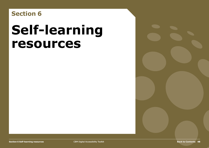<span id="page-47-1"></span><span id="page-47-0"></span>**Section 6**

# **Self-learning resources**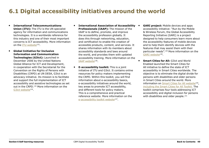## <span id="page-48-1"></span><span id="page-48-0"></span>**6.1 Digital accessibility initiatives around the world**

- **International Telecommunications Union (ITU):** The ITU is the UN specialist agency for information and communications technologies. It is a worldwide reference for this industry and one of their most important concerns is ICT accessibility. More information on the [ITU website](http://www.itu.int/en/Pages/default.aspx)<sup>133</sup>.
- **Global Initiative for Inclusive Information and Communication Technologies (G3ict):** Launched in December 2006 by the United Nations Global Alliance for ICT and Development,

in cooperation with the Secretariat for the Convention on the Rights of Persons with Disabilities (CRPD) at UN DESA, G3ict is an advocacy initiative. Its mission is to facilitate and support the full implementation of ICT accessibility and assistive technologies as set out in the CRPD.134 More information on the [G3ict website](http://g3ict.org/about)<sup>135</sup>.

- **International Association of Accessibility Professionals (IAAP):** The mission of the IAAP is to define, promote, and improve the accessibility profession globally. It does this through networking, education, and certification to enable the creation of accessible products, content, and services. It shares information with its members about accessibility standards and laws around the world, and provides them with updated accessibility training. More information on the [IAAP website](http://www.accessibilityassociation.org/)<sup>136</sup>.
- **E-accessibility toolkit:** This is a joint initiative of ITU and G3ict. It contains online resources for policy makers implementing the CRPD. Within this toolkit, you will find information about e-accessibility basics, e-accessibility initiatives around the world, key areas to promote ICT accessibility, and different tools for policy makers. This is a comprehensive and practical reference website. More information on the [e-accessibility toolkit website](http://www.e-accessibilitytoolkit.org/)<sup>137</sup>.
- **GARI project:** Mobile devices and apps accessibility initiative: "Run by the Mobile & Wireless Forum, the Global Accessibility Reporting Initiative (GARI) is a project designed to help consumers learn more about the accessibility features of mobile devices and to help them identify devices with the features that may assist them with their particular needs".138 More information on the GARI website<sup>139</sup>.
- **Smart Cities for All:** G3ict and World Enabled launched the Smart Cities for All initiative to define the state of ICT accessibility in Smart Cities worldwide. The objective is to eliminate the digital divide for persons with disabilities and older persons in Smart Cities around the world. More information on [Smart Cities for All website](http://smartcities4all.org/)<sup>140</sup>, including the Smart Cities for All Toolkit. The toolkit comprises four tools addressing ICT accessibility and digital inclusion for persons with disabilities and older people.<sup>141</sup>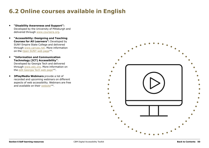## <span id="page-49-1"></span><span id="page-49-0"></span>**6.2 Online courses available in English**

- **"Disability Awareness and Support":**  Developed by the University of Pittsburgh and delivered through [www.coursera.org](http://www.coursera.org/).
- **"Accessibility: Designing and Teaching Courses for All Learners":** Developed by SUNY Empire State College and delivered through [www.canvas.net](http://www.canvas.net/). More information on the [Open SUNY web page](https://www.canvas.net/browse/empirestate/empirestate-buffalostate/courses/accessibility-designing-teaching)<sup>142</sup>.
- **"Information and Communication Technology (ICT) Accessibility"**: Developed by Georgia Tech and delivered through [www.edx.org](http://www.edx.org/). More information on the [edX Georgia Tech web page](https://www.edx.org/course/information-communication-technology-ict-gtx-ict100x)<sup>143</sup>.
- **3PlayMedia Webinars** provide a list of recorded and upcoming webinars on different aspects of web accessibility. Webinars are free and available on their [website](http://www.3playmedia.com/resources/webinars/)<sup>144</sup>.

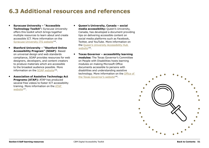## <span id="page-50-1"></span><span id="page-50-0"></span>**6.3 Additional resources and references**

- **Syracuse University "Accessible Technology Toolkit":** Syracuse University offers this toolkit which brings together multiple resources to learn about and create accessible ICT. More information on the [Syracuse University ITS website](https://answers.syr.edu/display/itsservapp011/Accessible+Technology+Toolkit)<sup>145</sup>.
- **Stanford University "Stanford Online Accessibility Program" (SOAP)**: Based on universal design and web standards compliance, SOAP provides resources for web designers, developers, and content creators to produce materials which are accessible to the broadest audience possible. More information on the [SOAP website](https://soap.stanford.edu/)<sup>146</sup>.
- **Association of Assistive Technology Act Programs (ATAP):** ATAP has produced several free videos to foster ICT accessibility training. More information on the [ATAP](http://www.ataporg.org/ICTWebinars/Default)  website<sup>147</sup>.
- **Queen's University, Canada social media accessibility:** Queen's University, Canada, has developed a document providing tips on delivering accessible content on social media platforms such as Facebook, Twitter, and YouTube. More information on the [Queen's University Accessibility Hub](http://www.queensu.ca/accessibility/how-info/social-media-accessibility)  website<sup>148</sup>.
- **Texas Governor accessibility learning modules:** The Texas Governor's Committee on People with Disabilities hosts learning modules on making Microsoft Office documents accessible to persons with disabilities and understanding assistive technology. More information on the Office of [the Texas Governor's websit](https://gov.texas.gov/organization/disabilities/assistivetech)e<sup>149</sup>.

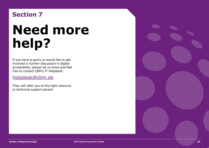## <span id="page-51-1"></span><span id="page-51-0"></span>**Section 7**

# **Need more help?**

If you have a query or would like to get involved in further discussion in digital accessibility, please let us know and feel free to contact CBM's IT Helpdesk:

#### [helpdesk@cbm.de](mailto:helpdesk%40cbm.de?subject=)

They will refer you to the right resource or technical support person.

**Section 7 Need more help?** CBM Digital Accessibility Toolkit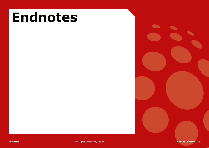

<span id="page-52-0"></span>**End notes End notes End notes End notes Back to CBM Digital Accessibility Toolkit Back to CBM Digital Accessibility Toolkit**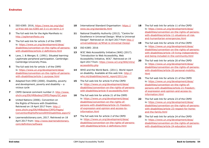- **[1](#page-7-1)** [ISO 6385: 2016, https://www.iso.org/obp/](https://www.iso.org/obp/ui/#iso:std:iso:6385:ed-3:v1:en:term:2.4) ui/#iso:std:iso:6385:ed-3:v1:en:term:2.4
- **[2](#page-7-1)** The full web link for the Agile Manifesto is: <http://agilemanifesto.org>
- **3** The full web link for article 2 of the CRPD is: https://www.un.org/development/desa/ [disabilities/convention-on-the-rights-of-persons](https://www.un.org/development/desa/disabilities/convention-on-the-rights-of-persons-with-disabilities/article-2-definitions.html)with-disabilities/article-2-definitions.html
- **[4](#page-8-0)** Lave, J. & Wenger, E. (1991). Situated learning: Legitimate peripheral participation. Cambridge: Cambridge University Press.
- **[5](#page-8-0)** The full web link for article 1 of the CRPD is: https://www.un.org/development/desa/ [disabilities/convention-on-the-rights-of-persons](https://www.un.org/development/desa/disabilities/convention-on-the-rights-of-persons-with-disabilities/article-1-purpose.html)with-disabilities/article-1-purpose.html
- **[6](#page-9-0)** Adapted from DfID (2000). Disability, poverty and development, poverty and disability – a vicious cycle
- **[7](#page-9-0)** [CRPD General comment number 2: http://www.](http://www.ohchr.org/EN/HRBodies/CRPD/Pages/GC.aspx) ohchr.org/EN/HRBodies/CRPD/Pages/GC.aspx
- **[8](#page-9-0)** United Nations (2006). Convention on the Rights of Persons with Disabilities. Retrieved on 19 April 2017 from: http:// www.ohchr.org/EN/HRBodies/CRPD/Pages/ [ConventionRightsPersonsWithDisabilities.aspx#2](http://www.ohchr.org/EN/HRBodies/CRPD/Pages/ConventionRightsPersonsWithDisabilities.aspx#2)
- **[9](#page-9-0)** Learnersdictionary.com, 2017. Retrieved on 18 [April 2017 from: http://www.learnersdictionary.](http://www.learnersdictionary.com/definition/software) com/definition/software
- **[10](#page-9-0)** [International Standard Organisation: https://](https://www.iso.org/standards.html) www.iso.org/standards.html
- **[11](#page-10-0)** National Disability Authority (2012). "Centre for Excellence in Universal Design: What is Universal [Design". Retrieved on 16 April 2017 from http://](http://universaldesign.ie/What-is-Universal-Design/) universaldesign.ie/What-is-Universal-Design
- **[12](#page-10-0)** ISO 6385: 2016
- **[13](#page-10-0)** W3C Web Accessibility Initiative (WAI) (2017). "Introduction to Web Accessibility, Web Accessibility Initiative, W3C". Retrieved on 19 [April 2017 from: https://www.w3.org/WAI/intro/](https://www.w3.org/WAI/intro/accessibility.php) accessibility.php
- **[14](#page-13-1)** WHO and the World Bank. (2011). World report [on disability. Available at this web link: http://](http://who.int/disabilities/world_report/2011/en/) who.int/disabilities/world\_report/2011/en
- **[15](#page-14-2)** The full web link for article 9 of the CRPD is: https://www.un.org/development/desa/ [disabilities/convention-on-the-rights-of-persons](https://www.un.org/development/desa/disabilities/convention-on-the-rights-of-persons-with-disabilities/article-9-accessibility.html)with-disabilities/article-9-accessibility.html
- **[16](#page-14-2)** The full web link for article 21 of the CRPD is: https://www.un.org/development/desa/ disabilities/convention-on-the-rights-of[persons-with-disabilities/article-21-freedom](https://www.un.org/development/desa/disabilities/convention-on-the-rights-of-persons-with-disabilities/article-21-freedom-of-expression-and-opinion-and-access-to-information.html)of-expression-and-opinion-and-access-toinformation.html
- **[17](#page-14-2)** The full web link for article 2 of the CRPD is: https://www.un.org/development/desa/ [disabilities/convention-on-the-rights-of-persons](https://www.un.org/development/desa/disabilities/convention-on-the-rights-of-persons-with-disabilities/article-2-definitions.html)with-disabilities/article-2-definitions.html
- **[18](#page-14-2)** The full web link for article 11 of the CRPD [is: https://www.un.org/development/desa/](https://www.un.org/development/desa/disabilities/convention-on-the-rights-of-persons-with-disabilities/article-11-situations-of-risk-and-humanitarian-emergencies.html) disabilities/convention-on-the-rights-of-personswith-disabilities/article-11-situations-of-riskand-humanitarian-emergencies.html
- **[19](#page-14-2)** The full web link for article 19 of the CRPD is: https://www.un.org/development/desa/ [disabilities/convention-on-the-rights-of-persons](https://www.un.org/development/desa/disabilities/convention-on-the-rights-of-persons-with-disabilities/article-19-living-independently-and-being-included-in-the-community.html)with-disabilities/article-19-living-independentlyand-being-included-in-the-community.html
- **[20](#page-14-2)** The full web link for article 20 of the CRPD is: https://www.un.org/development/desa/ [disabilities/convention-on-the-rights-of-persons](https://www.un.org/development/desa/disabilities/convention-on-the-rights-of-persons-with-disabilities/article-20-personal-mobility.html)with-disabilities/article-20-personal-mobility. html
- **[21](#page-14-2)** The full web link for article 21 of the CRPD is: https://www.un.org/development/desa/ disabilities/convention-on-the-rights-of[persons-with-disabilities/article-21-freedom](https://www.un.org/development/desa/disabilities/convention-on-the-rights-of-persons-with-disabilities/article-21-freedom-of-expression-and-opinion-and-access-to-information.html)of-expression-and-opinion-and-access-toinformation.html
- **[22](#page-14-2)** The full web link for article 23 of the CRPD is: https://www.un.org/development/desa/ [disabilities/convention-on-the-rights-of-persons](https://www.un.org/development/desa/disabilities/convention-on-the-rights-of-persons-with-disabilities/article-23-respect-for-home-and-the-family.html)with-disabilities/article-23-respect-for-homeand-the-family.html
- **[23](#page-14-2)** The full web link for article 24 of the CRPD is: https://www.un.org/development/desa/ [disabilities/convention-on-the-rights-of-persons](https://www.un.org/development/desa/disabilities/convention-on-the-rights-of-persons-with-disabilities/article-24-education.html)with-disabilities/article-24-education.html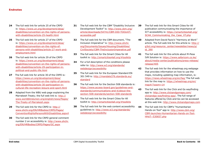- **[24](#page-14-2)** The full web link for article 25 of the CRPD is: https://www.un.org/development/desa/ [disabilities/convention-on-the-rights-of-persons](https://www.un.org/development/desa/disabilities/convention-on-the-rights-of-persons-with-disabilities/article-25-health.html)with-disabilities/article-25-health.html
- **[25](#page-14-2)** The full web link for article 27 of the CRPD is: https://www.un.org/development/desa/ disabilities/convention-on-the-rights-of[persons-with-disabilities/article-27-work-and](https://www.un.org/development/desa/disabilities/convention-on-the-rights-of-persons-with-disabilities/article-27-work-and-employment.html)employment.html
- **[26](#page-14-2)** The full web link for article 29 of the CRPD is: https://www.un.org/development/desa/ [disabilities/convention-on-the-rights-of-persons](https://www.un.org/development/desa/disabilities/convention-on-the-rights-of-persons-with-disabilities/article-29-participation-in-political-and-public-life.html)with-disabilities/article-29-participation-inpolitical-and-public-life.html
- **[27](#page-14-2)** The full web link for article 30 of the CRPD is: https://www.un.org/development/desa/ [disabilities/convention-on-the-rights-of-persons](https://www.un.org/development/desa/disabilities/convention-on-the-rights-of-persons-with-disabilities/article-30-participation-in-cultural-life-recreation-leisure-and-sport.html)with-disabilities/article-30-participation-incultural-life-recreation-leisure-and-sport.html
- **[28](#page-15-1)** Adapted from the WBU web page explaining the Marrakesh Treaty; the full web link is: http:// [www.worldblindunion.org/english/news/Pages/](http://www.worldblindunion.org/english/news/Pages/The-Treaty-of-Marrakesh.aspx) The-Treaty-of-Marrakesh.aspx
- **[29](#page-15-1)** The full web link for the CRPD is: http:// www.ohchr.org/EN/HRBodies/CRPD/Pages/ [ConventionRightsPersonsWithDisabilities.aspx#](http://www.ohchr.org/EN/HRBodies/CRPD/Pages/ConventionRightsPersonsWithDisabilities.aspx#)
- **[30](#page-15-1)** The full web link for the CRPD general comment [number 2 on accessibility is: http://www.ohchr.](http://www.ohchr.org/EN/HRBodies/CRPD/Pages/GC.aspx) org/EN/HRBodies/CRPD/Pages/GC.aspx
- **[31](#page-15-1)** The full web link for the CBM "Disability Inclusive [Development Toolkit" is: http://www.cbm.org/](http://www.cbm.org/article/downloads/54741/CBM-DID-TOOLKIT-accessible.pdf) article/downloads/54741/CBM-DID-TOOLKITaccessible.pdf
- **[32](#page-15-1)** The full web link for the CBM document, "The Inclusion Imperative" is: http://www.ohchr. org/Documents/Issues/Housing/Disabilities/ [CivilSociety/CBM-TheInclusionImperative.pdf](http://www.ohchr.org/Documents/Issues/Housing/Disabilities/CivilSociety/CBM-TheInclusionImperative.pdf)
- **[33](#page-15-1)** The full web link for the Smart Cities for All toolkit is:<http://smartcities4all.org/#toolkits>
- **[34](#page-16-1)** For a full description of the conditions please [refer to: http://www.w3.org/standards/](https://www.w3.org/standards/webdesign/accessibility) webdesign/accessibility
- **[35](#page-16-1)** The full web link for the European Standard EN [301 549 is: http://mandate376.standards.eu/](http://mandate376.standards.eu/standard/functional-statements) standard
- **[36](#page-16-1)** The full web link for the Section 508 standards is: [https://www.access-board.gov/guidelines-and](https://www.access-board.gov/guidelines-and-standards/communications-and-it/about-the-section-508-standards/section-508-standards)standards/communications-and-it/about-thesection-508-standards/section-508-standards
- **[37](#page-16-1)** The full web link for the Smart Cities for All toolkit is:<http://smartcities4all.org/#toolkits>
- **[38](#page-16-1)** The full web link for the web content accessibility [guidelines is: http://www.w3.org/standards/](http://www.w3.org/standards/webdesign/accessibility) webdesign/accessibility
- **[39](#page-17-2)** The full web link for this Smart Cities for All publication communicating the importance of [ICT accessibility is: https://smartcities4all.org/](https://smartcities4all.org/SC4A_Communicating_the_Case_XT.php) SC4A Communicating the Case XT.php
- **[40](#page-17-2)** Adapted from David Fazio's "Harmony at Work" [article. The full web link for this article is: http://](http://g3ict.org/resource_center/newsletter/news/p/id_390) g3ict.org/resource\_center/newsletter/news/p/ id\_390
- **[41](#page-17-2)** The full web link for this article about M-Pesa IVR Solution is: https://www.safaricom.co.ke/ [about/media-center/publications/press-release/](https://www.safaricom.co.ke/about/media-center/publications/press-release/release/405) release/405
- **[42](#page-18-0)** The full web link for the wheelmap.org webpage that provides information on how to use the maps, including updating map information, is: <https://news.wheelmap.org/en/faq/>The full web [link for the map is: https://wheelmap.org/en/](https://wheelmap.org/en/map#/?zoom=14)  $map\#$ /?zoom=14
- **[43](#page-18-0)** The full web link for the Click and Go wayfinding [app is: http://www.clickandgomaps.com/](http://www.clickandgomaps.com/clickandgo-wayfinding-app/) clickandgo-wayfinding-app/. The full range of features offered by Click and Go can be accessed at this web link:<http://www.clickandgomaps.com>
- **[44](#page-19-1)** The full web link for CBM's "Humanitarian Hands-on Tool" app is: http://www.cbm.org/ [CBM-launches-Humanitarian-Hands-on-Tool-](http://www.cbm.org/CBM-launches-Humanitarian-Hands-on-Tool-HHoT--530657.php)HHoT--530657.php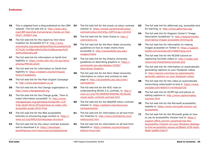- **[45](#page-19-1)** This is adapted from a blog published on the CBM website. The full web link is: http://www.cbm. [org/CBM-launches-Humanitarian-Hands-on-Tool-](http://www.cbm.org/CBM-launches-Humanitarian-Hands-on-Tool-HHoT--530657.php)HHoT--530657.php
- **[46](#page--1-0)** The full web link for this report by One Voice Coalition for Accessible ICT is: http://www. [onevoiceict.org/sites/default/files/Accessible%20](http://www.onevoiceict.org/sites/default/files/Accessible%20ICT%20-%20Benefits%20to%20Business%20and%20Society.pdf) ICT%20-%20Benefits%20to%20Business%20 and%20Society.pdf
- **[47](#page-23-1)** The full web link for information on Serifs font [legibility is: https://www.ncbi.nlm.nih.gov/pmc/](https://www.ncbi.nlm.nih.gov/pmc/articles/PMC4612630/) articles/PMC4612630
- **[48](#page-23-1)** The full web link for information on Serifs font [legibility is: https://webaim.org/techniques/](https://webaim.org/techniques/fonts/#readability) fonts/#readability
- **[49](#page-24-1)** The full web link for the Plain English Campaign is: [http://www.plainenglish.co.uk](http://www.plainenglish.co.uk/)
- **[50](#page-24-1)** The full web link for the Change organisation is: [http://www.changepeople.org](http://www.changepeople.org/)
- **[51](#page-24-1)** The full web link for the Change guide, "How to make information accessible" is: http://www. changepeople.org/getmedia/923a6399-c13f-[418c-bb29-051413f7e3a3/How-to-make-info](http://www.changepeople.org/getmedia/923a6399-c13f-418c-bb29-051413f7e3a3/How-to-make-info-accessible-guide-2016-Final)accessible-guide-2016-Final
- **[52](#page-26-1)** The full web link for the Web accessibility [tutorials on structuring page content is: https://](https://www.w3.org/WAI/tutorials/page-structure/) www.w3.org/WAI/tutorials/page-structure
- **[53](#page-27-1)** The full web link for the colour contrast analyser and to download it is: https://developer. [paciellogroup.com/resources/contrastanalyser](https://developer.paciellogroup.com/resources/contrastanalyser/)
- **[54](#page-27-1)** The full web link for the snook.ca colour contrast [checker is: https://snook.ca/technical/colour\\_](https://snook.ca/technical/colour_contrast/colour.html#fg=33FF33,bg=333333) contrast/colour.html#fg=33FF33,bg=333333
- **[55](#page-27-1)** [The full web link for Color Oracle is: http://](http://colororacle.org/) colororacle.org
- **[56](#page-27-1)** The full web link for the Penn State University guidelines on how to make charts more [accessible is: http://accessibility.psu.edu/](http://accessibility.psu.edu/images/charts/) images/charts
- **[57](#page-27-1)** The full web link for the Ontario University [guidelines on describing graphics is: https://](https://carmenwiki.osu.edu/display/10292/Describing+Graphics) carmenwiki.osu.edu/display/10292/ Describing+Graphics
- **[58](#page-27-1)** The full web link for the Penn State University information on colour and contrast on web [page is: http://accessibility.psu.edu/color/](http://accessibility.psu.edu/color/contrasthtml/) contrasthtml
- **[59](#page-27-1)** The full web link for the W3C note on [understanding WCAG 2.0, contrast, is: http://](http://www.w3.org/TR/UNDERSTANDING-WCAG20/visual-audio-contrast-contrast.html) www.w3.org/TR/UNDERSTANDING-WCAG20/ visual-audio-contrast-contrast.html
- **[60](#page-27-1)** The full web link for the WebAIM colour contrast [checker is: https://webaim.org/resources/](https://webaim.org/resources/contrastchecker/) contrastchecker
- **[61](#page-28-1)** The full web link for information on alt text from [Jim Thatcher is: http://www.jimthatcher.com/](http://www.jimthatcher.com/webcourse2.htm) webcourse2.htm
- **[62](#page-28-1)** The full web link for information on alt text from [WebAIM is: https://webaim.org/techniques/](https://webaim.org/techniques/alttext/#overview) alttext/#overview
- **[63](#page-28-1)** The full web link for altformat.org, accessible text for learning, is:<http://www.altformat.org/>
- **[64](#page-28-1)** The full web link for Diagram Center's "Image [Description Guidelines" is: http://diagramcenter.](http://diagramcenter.org/making-images-accessible.html#guide) org/making-images-accessible.html#guide
- **[65](#page-28-1)** The full web link for information on making [images accessible on Twitter is: https://support.](https://support.twitter.com/articles/20174660?lang=en#) twitter.com/articles/20174660?lang=en#
- **[66](#page-29-1)** The full web link for the NCDAE tutorial on [captioning YouTube videos is: http://ncdae.org/](http://ncdae.org/resources/cheatsheets/youtube.php) resources/cheatsheets/youtube.php
- **[67](#page-29-1)** The full web link for information on automatically generating captions on your Facebook videos [is: http://wersm.com/how-to-automatically](http://wersm.com/how-to-automatically-generate-captions-on-your-facebook-videos/)generate-captions-on-your-facebook-videos
- **[68](#page-29-1)** The full web link for this video on automatically [transcribing video/audio to text is: https://www.](https://www.youtube.com/watch?v=erx9czQsY2Q) youtube.com/watch?v=erx9czQsY2Q
- **[69](#page-29-1)** The full web link for DCMP tips and advice on [editing captions is: http://www.captioningkey.](http://www.captioningkey.org/text.html) org/text.html
- **[70](#page-30-2)** The full web link for the Microsoft accessibility [website is: https://www.microsoft.com/en-us/](https://www.microsoft.com/en-us/accessibility/) accessibility
- **[71](#page-30-2)** The full web link for the Microsoft guide on how to use its accessibility checker tool is: https:// support.office.com/en-us/article/Use-the-[Accessibility-Checker-on-your-Windows-desktop](https://support.office.com/en-us/article/Use-the-Accessibility-Checker-on-your-Windows-desktop-to-find-accessibility-issues-a16f6de0-2f39-4a2b-8bd8-5ad801426c7f)to-find-accessibility-issues-a16f6de0-2f39-4a2b-8bd8-5ad801426c7f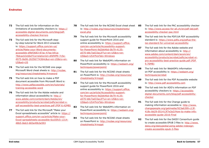- **[72](#page-30-2)** The full web link for information on the [limitations of accessibility checkers is: https://](https://accessible-digital-documents.com/blog/pdf-accessibility-checker/#errors) accessible-digital-documents.com/blog/pdfaccessibility-checker/#errors
- **[73](#page-30-2)** The full web link for the Microsoft stepby-step tutorial for Word 2013 onwards is: https://support.office.com/en-us/ article/Make-your-Word-documentsaccessible-d9bf3683-87ac-47ea-b91a-78dcacb3c66d?CorrelationId=dfdf4ff9-7c5e-[4975-8e06-26356774364c&ui=en-US&rs=en-](https://support.office.com/en-us/article/Make-your-Word-documents-accessible-d9bf3683-87ac-47ea-b91a-78dcacb3c66d?CorrelationId=dfdf4ff9-7c5e-4975-8e06-26356774364c&ui=en-US&rs=en-US&ad=US)US&ad=US
- **[74](#page-30-2)** The full web link for the NCDAE one-page [Microsoft Word cheat sheets is: http://ncdae.](http://ncdae.org/resources/cheatsheets/#msword) org/resources/cheatsheets/#msword
- **[75](#page-30-2)** The full web link on how to make a PDF document accessible from Microsoft Word is: [http://www.pdfaccessible.com/en/tutorials/](http://www.pdfaccessible.com/en/tutorials/training-accessible-word/) training-accessible-word
- **[76](#page-30-2)** The full web link for the Adobe website and information about accessibility is: http:// www.adobe.com/content/dam/Adobe/en/ accessibility/products/acrobat/pdfs/acrobat-x[pdf-accessibility-best-practices.pdf \(PDF 6.42MB\)](https://www.adobe.com/content/dam/acom/en/accessibility/products/acrobat/pdfs/acrobat-x-pdf-accessibility-best-practices.pdf)
- **[77](#page-31-1)** The full web link for the Microsoft "Make your [Excel spreadsheets accessible" article is: https://](https://support.office.com/en-us/article/Make-your-Excel-spreadsheets-accessible-6cc05fc5-1314-48b5-8eb3-683e49b3e593) support.office.com/en-us/article/Make-your-Excel-spreadsheets-accessible-6cc05fc5-1314- 48b5-8eb3-683e49b3e593
- **[78](#page-31-1)** The full web link for the NCDAE Excel cheat sheet 85 [is: http://ncdae.org/resources/cheatsheets/](http://ncdae.org/resources/cheatsheets/excel.php) excel.php
- **[79](#page-32-1)** The full web link for the Microsoft accessibility support guide for PowerPoint 2016 and online accessibility is: https://support.office. [com/en-us/article/Accessibility-support](https://support.office.com/en-us/article/Accessibility-support-for-PowerPoint-9d2b646d-0b79-4135-a570-b8c7ad33ac2f?ui=en-US&rs=en-US&ad=US#PickTab=Windows)for-PowerPoint-9d2b646d-0b79-4135 a570-b8c7ad33ac2f?ui=en-US&rs=en-US&ad=US#PickTab=Windows
- **[80](#page-32-1)** The full web link for WebAIM's information on [PowerPoint accessibility is: https://webaim.org/](https://webaim.org/techniques/powerpoint/) techniques/powerpoint/
- **[81](#page-32-1)** The full web link for the NCDAE cheat sheets [on PowerPoint is: http://ncdae.org/resources/](http://ncdae.org/resources/cheatsheets/#msppt) cheatsheets/#msppt
- **[82](#page-33-2)** The full web link for the Microsoft accessibility support guide for PowerPoint 2016 and online accessibility is: https://support.office. [com/en-us/article/Accessibility-support](https://support.office.com/en-us/article/Accessibility-support-for-PowerPoint-9d2b646d-0b79-4135-a570-b8c7ad33ac2f?ui=en-US&rs=en-US&ad=US#PickTab=Windows)for-PowerPoint-9d2b646d-0b79-4135 a570-b8c7ad33ac2f?ui=en-US&rs=en-US&ad=US#PickTab=Windows
- **[83](#page-33-2)** The full web link for WebAIM's information on [PowerPoint accessibility is: https://webaim.org/](https://webaim.org/techniques/powerpoint/) techniques/powerpoint/
- **[84](#page-33-2)** The full web link for the NCDAE cheat sheets [on PowerPoint is: http://ncdae.org/resources/](http://ncdae.org/resources/cheatsheets/#msppt) cheatsheets/#msppt
- **[85](#page-33-2)** The full web link for the PAC accessibility checker [is: http://www.access-for-all.ch/en/pdf-lab/pdf](http://www.access-for-all.ch/en/pdf-lab/pdf-accessibility-checker-pac.html)accessibility-checker-pac.html
- **[86](#page-33-2)** The full web link for the PDF/UA PDF accessibility [standard is: https://www.pdfa.org/pdfua-the](https://www.pdfa.org/pdfua-the-iso-standard-for-universal-accessibility/)iso-standard-for-universal-accessibility
- **[87](#page-33-2)** The full web link for the Adobe website and information about accessibility is: http:// www.adobe.com/content/dam/acom/en/ [accessibility/products/acrobat/pdfs/acrobat-xi](https://www.adobe.com/content/dam/acom/en/accessibility/products/acrobat/pdfs/acrobat-xi-pro-accessibility-best-practice-guide.pdf)pro-accessibility-best-practice-guide.pdf (PDF 9.76MB)
- **[88](#page-33-2)** The full web link for WebAIM's information [on PDF accessibility is: https://webaim.org/](https://webaim.org/techniques/acrobat/) techniques/acrobat
- **[89](#page-33-2)** The full web link for the PDF Accessible website is: [http://www.pdf-accessibility.com](http://www.pdf-accessibility.com/)
- **[90](#page-33-2)** The full web link for ADD's information on PDF accessibility checkers is: https://accessible[digital-documents.com/blog/pdf-accessibility](https://accessible-digital-documents.com/blog/pdf-accessibility-checker/)checker
- **[91](#page-33-2)** The full web link for the Change guide to making information accessible is: http://www. changepeople.org/getmedia/923a6399-c13f-[418c-bb29-051413f7e3a3/How-to-make-info](http://www.changepeople.org/getmedia/923a6399-c13f-418c-bb29-051413f7e3a3/How-to-make-info-accessible-guide-2016-Final)accessible-guide-2016-Final
- **[92](#page-34-2)** The full web link for the DAISY Consortium guide to create accessible EPUB 3 files is: http://www. [daisy.org/daisypedia/using-adobe-indesign](http://www.daisy.org/daisypedia/using-adobe-indesign-create-accessible-epub-3-files)create-accessible-epub-3-files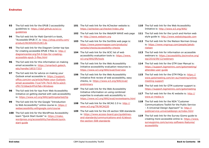- **[93](#page-34-2)** The full web link for the EPUB 3 accessibility [guidelines is: https://idpf.github.io/a11y](https://idpf.github.io/a11y-guidelines/)guidelines
- **[94](#page-34-2)** The full web link for Matt Garrish's e-book, ["Accessible EPUB 3", is: http://shop.oreilly.com/](http://shop.oreilly.com/product/0636920025283.do) product/0636920025283.do
- **[95](#page-34-2)** The full web link for the Diagram Center top tips for creating accessible EPUB 3 files is: http:// [diagramcenter.org/54-9-tips-for-creating](http://diagramcenter.org/54-9-tips-for-creating-accessible-epub-3-files.html)accessible-epub-3-files.html
- **[96](#page-34-2)** The full web link for this information on making [email accessible is: https://smartech.gatech.](https://smartech.gatech.edu/handle/1853/7333) edu/handle/1853/7333
- **[97](#page-34-2)** The full web link for advice on making your Outlook email accessible is: https://support. office.com/en-us/article/Make-your-Outlook[email-accessible-71ce71f4-7b15-4b7a-a2e3](https://support.office.com/en-us/article/Make-your-Outlook-email-accessible-71ce71f4-7b15-4b7a-a2e3-cf91721bbacb#PickTab=Windows) cf91721bbacb#PickTab=Windows
- **[98](#page-38-1)** The full web link for tips from Web Accessibility Initiative on getting started with web accessibility is: [https://www.w3.org/WAI/gettingstarted/tip](https://www.w3.org/WAI/gettingstarted/tips/)
- **[99](#page-38-1)** The full web link for the Google "Introduction [to Web Accessibility" online course is: https://](https://webaccessibility.withgoogle.com/course) webaccessibility.withgoogle.com/course
- [100](#page-38-1) The full web link for the WordPress Accessibility team "Quick Start Guide" is: https://make. [wordpress.org/accessibility/handbook/quick](https://make.wordpress.org/accessibility/handbook/quick-start-guide/)start-guide
- **[101](#page-39-1)** The full web link for the AChecker website is: <https://achecker.ca/checker/index.php>
- **[102](#page-39-1)** The full web link for the WebAIM WAVE web page is: [http://wave.webaim.org](http://wave.webaim.org/)
- **[103](#page-39-1)** The full web link for the SortSite web page is: [https://www.powermapper.com/products/](https://www.powermapper.com/products/sortsite/checks/accessibility-checks) sortsite/checks/accessibility-checks
- **[104](#page-39-1)** The full web link for the W3C list of web [accessibility evaluation tools is: https://www.](https://www.w3.org/WAI/ER/tools) w3.org/WAI/ER/tools
- [105](#page-39-1) The full web link for the Web Accessibility Initiative accessibility evaluation resources is: <https://www.w3.org/WAI/eval/Overview>
- **[106](#page-39-1)** The full web link for the Web Accessibility Initiative first review of web accessibility, easy [checks, is: https://www.w3.org/WAI/eval/](https://www.w3.org/WAI/eval/preliminary) preliminary
- **[107](#page-39-1)** The full web link for the Web Accessibility Initiative information on using combined expertise to evaluate web accessibility is: <https://www.w3.org/WAI/eval/reviewteams.html>
- **[108](#page-39-1)** [The full web link for the WCAG 2.0 is: http://](http://www.w3.org/TR/WCAG20/) www.w3.org/TR/WCAG20
- **[109](#page-39-1)** The full web link for the US section 508 standards is: https://www.access-board.gov/guidelines[and-standards/communications-and-it/about](https://www.access-board.gov/guidelines-and-standards/communications-and-it/about-the-section-508-standards)the-section-508-standards
- [110](#page-39-1) The full web link for the Web Accessibility Initiative is:<http://www.w3.org/WAI/>
- **[111](#page-39-1)** The full web link for the Lynch and Horton web style guide is: [http://www.webstyleguide.com](http://www.webstyleguide.com/)
- **[112](#page-39-1)** The full web link for the Nielson Norman Group [is: https://www.nngroup.com/people/jakob](https://www.nngroup.com/people/jakob-nielsen/)nielsen
- **[113](#page-40-1)** The full web link for information on accessible [webinars is: https://accessibility.jiscinvolve.org/](https://accessibility.jiscinvolve.org/wp/2016/09/12/webinars/) wp/2016/09/12/webinars
- **[114](#page-40-1)** The full web link for the GTM User Manual is: [https://support.logmeininc.com/gotomeeting/](https://support.logmeininc.com/gotomeeting/attendee-user-guide) attendee-user-guide
- **[115](#page-40-1)** The full web link for the GTM FAQs is: https:// [www.gotomeeting.com/en-au/meeting/online](https://www.gotomeeting.com/en-au/meeting/online-meeting-support)meeting-support
- [116](#page-40-1) The full web link for GTM customer support is: <https://support.logmeininc.com/gotomeeting>
- **[117](#page-40-1)** [The full web link for the AI website is: http://](http://www.ai-media.tv/) www.ai-media.tv
- **[118](#page-41-1)** The full web link for the NDA "Customer Communications Toolkit for the Public Service – A Universal Design Approach" is: http:// [publicservice.universaldesign.ie/index.html](http://publicservice.universaldesign.ie/index.html)
- [119](#page-41-1) The full web link for the Survey Gizmo guide to [creating more accessible online is: https://www.](https://www.surveygizmo.com/survey-software-features/accessibility/) surveygizmo.com/survey-software-features/ accessibility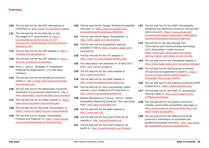- **[120](#page-42-1)** The full web link for the W3C alternatives to CAPTCHAs is: [http://www.w3.org/TR/turingtest](http://www.w3.org/TR/turingtest/)
- **[121](#page-46-1)** The full web link for the NDA tips on the five stages of IT procurement is: http:// universaldesign.ie/Technology-ICT/IT-[Procurement-Toolkit/Stages-of-Procurement/1-](http://universaldesign.ie/Technology-ICT/IT-Procurement-Toolkit/Stages-of-Procurement/1-Writing-an-RFT/) Writing-an-RFT
- **[122](#page-46-1)** [The full web link for the CEN website is: http://](http://mandate376.standards.eu/) mandate376.standards.eu
- **[123](#page-46-1)** [The full web link for the ITIC website is: http://](http://www.itic.org/policy/accessibility/) www.itic.org/policy/accessibility
- **[124](#page-46-1)** Kline, J. (2011). "Strategic IT Accessibility: Enabling the Organization", Live Oak Book Company.
- **[125](#page-46-1)** The full web link for the NCDAE procurement [article is: http://ncdae.org/resources/articles/](http://ncdae.org/resources/articles/procurement.php) procurement.php
- [126](#page-46-1) The full web link for the Washington University accessible IT procurement statement is: http:// [www.washington.edu/accessibility/procurement/](http://www.washington.edu/accessibility/procurement/)
- **[127](#page-46-1)** [The full web link for the AMAC website is: http://](http://www.amacusg.gatech.edu/amacat.php) www.amacusg.gatech.edu/amacat.php
- **[128](#page-46-1)** The full web link for Microsoft "Accessibility" is: <https://www.microsoft.com/en-us/accessibility>
- [129](#page-46-1) The full web link for Google "Accessibility, [Products and Features" is: https://www.google.](https://www.google.com/accessibility/products-features.html) com/accessibility/products-features.html
- [130](#page-46-1) The full web link for Google "Android Accessibility [overview" is: https://support.google.com/](https://support.google.com/accessibility/android/answer/6006564) accessibility/android/answer/6006564
- [131](#page-46-1) The full web link for Apple "Accessibility" is: [http://www.apple.com/accessibility](http://www.apple.com/accessibility/)
- [132](#page-46-1) The full web link for accessibility features [available in iOS is: https://support.apple.com/](https://support.apple.com/accessibility) accessibility
- **[133](#page-48-1)** The full web link for the ITU website is: <http://www.itu.int/en/Pages/default.aspx>
- **[134](#page-48-1)** This description was retrieved on 19 April 2017 from:<http://g3ict.org/about>
- **[135](#page-48-1)** The full web link for the G3ict website is: <http://g3ict.org/about>
- **[136](#page-48-1)** The full web link for the IAAP website is: [http://www.accessibilityassociation.org](http://www.accessibilityassociation.org/)
- [137](#page-48-1) The full web link for the e-accessibility toolkit website, a joint initiative of ITU and G3ict is: [http://www.e-accessibilitytoolkit.org](http://www.e-accessibilitytoolkit.org/)
- **[138](#page-48-1)** Mobiles Manufacturer's Forum. (2016). "Global Accessibility Reporting Initiative". Text was taken from:<http://gari.info/index.cfm>
- **[139](#page-48-1)** The full web link for the GARI website is: [http://www.gari.info](http://www.gari.info/)
- **[140](#page-48-1)** The full web link for the Smart Cities for All website is: [http://smartcities4all.org](http://smartcities4all.org/)
- **[141](#page-48-1)** The full web link for the Smart Cities for All toolkit is:<http://smartcities4all.org/#toolkits>
- **[142](#page-49-1)** The full web link for the SUNY "Accessibility: Designing and Teaching Courses for All Learners" online course is: https://www.canvas.net/ [browse/empirestate/empirestate-buffalostate/](https://www.canvas.net/browse/empirestate/empirestate-buffalostate/courses/accessibility-designing-teaching) courses/accessibility-designing-teaching
- [143](#page-49-1) The full link for the edX Georgia Tech "Information and Communication Technology (ICT) Accessibility" online course is: https://www.edx.org/course/information[communication-technology-ict-gtx-ict100x](https://www.edx.org/course/information-communication-technology-ict-gtx-ict100x)
- **[144](#page-49-1)** The full web link for the 3PlayMedia website is: [http://www.3playmedia.com/resources/webinars](http://www.3playmedia.com/resources/webinars/)
- [145](#page-50-1) The full web link for the Syracuse University [ITS services and applications toolkit is: https://](https://answers.syr.edu/display/itsservapp011/Accessible+Technology+Toolkit) answers.syr.edu/display/itsservapp011/ Accessible+Technology+Toolkit
- **[146](#page-50-1)** The full web link for the Stanford University SOAP programme is:<https://soap.stanford.edu/>
- [147](#page-50-1) The full web link for the ATAP ICT accessibility [training videos is: http://www.ataporg.org/](http://www.ataporg.org/ICTWebinars/Default) ICTWebinars/Default
- [148](#page-50-1) The full web link for the Queen's University, Canada, social media accessibility web page is: [http://www.queensu.ca/accessibility/how-info/](http://www.queensu.ca/accessibility/how-info/social-media-accessibility) social-media-accessibility
- **[149](#page-50-1)** The full web link for the Office of the Texas Governor's information on accessible and [assistive technology training is: http://gov.texas.](http://gov.texas.gov/disabilities/resources/assistivetech) gov/disabilities/resources/assistivetech